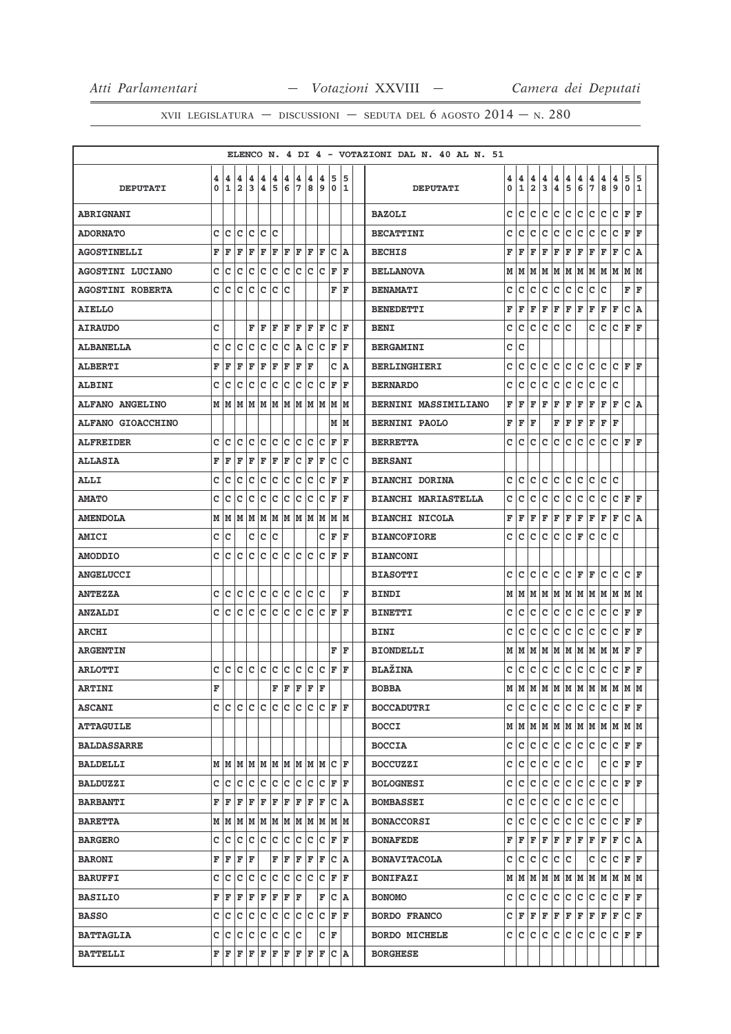|                         |        |      |                                                                                                                                                   |        |                              |        |        |                    |        |        |                                                                                                                                                                                                            |     |         | ELENCO N. 4 DI 4 - VOTAZIONI DAL N. 40 AL N. 51 |        |        |                     |              |                              |             |                                                                 |        |              |                       |                   |        |
|-------------------------|--------|------|---------------------------------------------------------------------------------------------------------------------------------------------------|--------|------------------------------|--------|--------|--------------------|--------|--------|------------------------------------------------------------------------------------------------------------------------------------------------------------------------------------------------------------|-----|---------|-------------------------------------------------|--------|--------|---------------------|--------------|------------------------------|-------------|-----------------------------------------------------------------|--------|--------------|-----------------------|-------------------|--------|
| <b>DEPUTATI</b>         | 4<br>0 | 4    | 4<br>$1\overline{2}$                                                                                                                              | 4<br>3 | 4<br>$\overline{\mathbf{4}}$ | 4<br>5 | 4<br>6 | 4<br>7             | 4<br>8 | 4<br>9 | 5<br>0                                                                                                                                                                                                     |     | 5<br>11 | <b>DEPUTATI</b>                                 | 4<br>0 | 4<br>1 | 4<br>$\overline{2}$ | 4<br>3       | 4<br>$\overline{\mathbf{4}}$ | 4<br>5      | $\pmb{4}$<br>6                                                  | 4<br>7 | 4<br>$\bf 8$ | $\boldsymbol{4}$<br>و | 5<br>$\mathbf{o}$ | 5<br>1 |
| <b>ABRIGNANI</b>        |        |      |                                                                                                                                                   |        |                              |        |        |                    |        |        |                                                                                                                                                                                                            |     |         | <b>BAZOLI</b>                                   | C      | lc.    | C                   | c            | c                            | c           | c                                                               | c      | c            | lc.                   | F                 | l F    |
| <b>ADORNATO</b>         | c      | lc   | lc.                                                                                                                                               | lc.    | lc.                          | lc     |        |                    |        |        |                                                                                                                                                                                                            |     |         | <b>BECATTINI</b>                                | C      | c      | c                   | c            | c                            | с           | c                                                               | c      | c            | c                     | F                 | l F    |
| <b>AGOSTINELLI</b>      | F      | F    | F                                                                                                                                                 | F      | ΙF                           | F      | ΙF     | F                  | ΙF     | F      | c                                                                                                                                                                                                          |     | ١A      | <b>BECHIS</b>                                   | F      | F      | F                   | F            | F                            | F           | F                                                               | F      | F            | F                     | c                 | A      |
| <b>AGOSTINI LUCIANO</b> | c      | Iс   | c                                                                                                                                                 | c c    |                              | c      | lc.    | c c                |        | Iс     | F                                                                                                                                                                                                          |     | F       | <b>BELLANOVA</b>                                | М      | M      | M                   | M            | M                            | M           | lм                                                              | M      | lм           | lм                    | M                 | M      |
| <b>AGOSTINI ROBERTA</b> | c      | ١c   | C                                                                                                                                                 | Ιc     | c                            | Ιc     | Iс     |                    |        |        | F                                                                                                                                                                                                          |     | ΙF      | <b>BENAMATI</b>                                 | c      | c      | c                   | $\mathbf C$  | c                            | c           | c                                                               | c      | C            |                       | F                 | F      |
| <b>AIELLO</b>           |        |      |                                                                                                                                                   |        |                              |        |        |                    |        |        |                                                                                                                                                                                                            |     |         | <b>BENEDETTI</b>                                | F      | F      | F                   | $\mathbf F$  | F                            | $\mathbf F$ | l F                                                             | F      | F            | F                     | $\mathbf{C}$      | A      |
| <b>AIRAUDO</b>          | c      |      |                                                                                                                                                   | F      | ΙF                           | F      | ΙF     | l F                | ΙF     | F      | lc.                                                                                                                                                                                                        |     | ١F      | <b>BENI</b>                                     | C      | C      | $\mathbf c$         | C            | lc.                          | C           |                                                                 | C      | lc.          | C                     | $\mathbf F$       | l F    |
| <b>ALBANELLA</b>        | C      | ١c   | c                                                                                                                                                 | lc     | lc                           | Iс     | lc.    | ١A                 | Iс     | lc     | ١F                                                                                                                                                                                                         |     | ΙF      | <b>BERGAMINI</b>                                | C      | C      |                     |              |                              |             |                                                                 |        |              |                       |                   |        |
| <b>ALBERTI</b>          | F      | F    | ΙF                                                                                                                                                | İF     | F                            | F      | F      | F                  | ΙF     |        |                                                                                                                                                                                                            | C A |         | <b>BERLINGHIERI</b>                             | c      | c      | c                   | c            | c                            | c           | c                                                               | c      | c            | c                     | F                 | F      |
| <b>ALBINI</b>           | c      | lc   | c                                                                                                                                                 | lc     | lc.                          | lc.    | lc.    | lc.                | Iс     | lc     | l F                                                                                                                                                                                                        |     | F       | <b>BERNARDO</b>                                 | c      | c      | c                   | c            | c                            | с           | c                                                               | с      | c            | c                     |                   |        |
| <b>ALFANO ANGELINO</b>  |        |      |                                                                                                                                                   |        |                              |        |        |                    |        |        |                                                                                                                                                                                                            |     |         | <b>BERNINI MASSIMILIANO</b>                     | F      | F      | F                   | F            | F                            | F           | F                                                               | F      | F            | F                     | c                 | ١A     |
| ALFANO GIOACCHINO       |        |      |                                                                                                                                                   |        |                              |        |        |                    |        |        |                                                                                                                                                                                                            | M M |         | <b>BERNINI PAOLO</b>                            | F      | F      | F                   |              | F                            | F           | F                                                               | F      | F            | F                     |                   |        |
| <b>ALFREIDER</b>        | C      | c    | c                                                                                                                                                 | c c    |                              | c c    |        | c c                |        | lc.    | ١F                                                                                                                                                                                                         |     | ΙF      | <b>BERRETTA</b>                                 | c      | c      | c                   | c            | C                            | C           | lc.                                                             | c      | c            | c                     | F                 | l F    |
| <b>ALLASIA</b>          | F      | ΙF   | ΙF                                                                                                                                                | F      | F                            | F      | F      | $ C $ $\mathbf{F}$ |        | F      | Ιc                                                                                                                                                                                                         |     | lc      | <b>BERSANI</b>                                  |        |        |                     |              |                              |             |                                                                 |        |              |                       |                   |        |
| ALLI                    | c      | lc   | c                                                                                                                                                 | lc     | lc.                          | lc.    | ١c     | lc                 | lc     | lc     | ΙF                                                                                                                                                                                                         |     | ΙF      | <b>BIANCHI DORINA</b>                           | c      | c      | c                   | c            | c                            | c           | c                                                               | c      | c            | c                     |                   |        |
| <b>AMATO</b>            | c      | c    | c                                                                                                                                                 | Iс     | Ιc                           | c      | ∣c     | c                  | Iс     | Ιc     | lF                                                                                                                                                                                                         |     | ΙF      | <b>BIANCHI MARIASTELLA</b>                      | c      | c      | c                   | с            | c                            | с           | c                                                               | c      | c            | c                     | F                 | F      |
| <b>AMENDOLA</b>         |        |      |                                                                                                                                                   |        |                              |        |        |                    |        |        |                                                                                                                                                                                                            |     |         | <b>BIANCHI NICOLA</b>                           | F      | F      | F                   | F            | F                            | F           | F                                                               | F      | F            | F                     | c                 | ١A     |
| <b>AMICI</b>            | c      | lc   |                                                                                                                                                   |        | c c                          | Iс     |        |                    |        |        | СF                                                                                                                                                                                                         |     | F       | <b>BIANCOFIORE</b>                              | c      | c      | c                   | c            | c                            | с           | F                                                               | с      | c            | c                     |                   |        |
| <b>AMODDIO</b>          | C      | c    | c                                                                                                                                                 | lc     | lc                           | lc.    | lc.    | lc.                | lc     | lc     | l F                                                                                                                                                                                                        |     | F       | <b>BIANCONI</b>                                 |        |        |                     |              |                              |             |                                                                 |        |              |                       |                   |        |
| <b>ANGELUCCI</b>        |        |      |                                                                                                                                                   |        |                              |        |        |                    |        |        |                                                                                                                                                                                                            |     |         | <b>BIASOTTI</b>                                 | C      | lc.    | c                   | $\mathbf{C}$ | lc.                          | c           | F                                                               | F      | lc.          | c                     | c                 | l F    |
| <b>ANTEZZA</b>          | C      | lc   | c                                                                                                                                                 | lc.    | lc                           | lc.    | c      | c c                |        | lc     |                                                                                                                                                                                                            |     | F       | <b>BINDI</b>                                    | М      | M      | M                   | lм           | M                            | M M         |                                                                 | M      | M            | M                     | M M               |        |
| <b>ANZALDI</b>          | c      | lc   | c                                                                                                                                                 | lc     | Iс                           | lc.    | ١c     | lc                 | lc     | lc.    | ١F                                                                                                                                                                                                         |     | l F     | <b>BINETTI</b>                                  | c      | c      | c                   | c            | c                            | c           | c                                                               | c      | c            | c                     | F                 | F      |
| <b>ARCHI</b>            |        |      |                                                                                                                                                   |        |                              |        |        |                    |        |        |                                                                                                                                                                                                            |     |         | <b>BINI</b>                                     | c      | с      | c                   | c            | c                            | с           | c                                                               | c      | c            | c                     | F                 | F      |
| <b>ARGENTIN</b>         |        |      |                                                                                                                                                   |        |                              |        |        |                    |        |        | F                                                                                                                                                                                                          |     | F       | <b>BIONDELLI</b>                                | М      | M      | M                   | М            | M                            | M           | M                                                               | M      | M            | M                     | F                 | F      |
| <b>ARLOTTI</b>          | c      | lc.  | с                                                                                                                                                 | lc.    | lc.                          | c      | c      |                    |        |        | $ c c c _F$                                                                                                                                                                                                |     | F       | <b>BLAŽINA</b>                                  | c      | c      | c                   | c            | c                            | c           | c                                                               | c      | c            | c                     | F                 | l F    |
| <b>ARTINI</b>           | F      |      |                                                                                                                                                   |        |                              | F      | l F    | F                  | lF.    | ١F     |                                                                                                                                                                                                            |     |         | <b>BOBBA</b>                                    | M      | M      | M                   |              |                              |             | M M M M                                                         |        | M            | M                     | M                 | M      |
| <b>ASCANI</b>           |        |      |                                                                                                                                                   |        |                              |        |        |                    |        |        |                                                                                                                                                                                                            |     |         | <b>BOCCADUTRI</b>                               | c      | lc.    | lc.                 | с            | lc.                          | lc.         | lc.                                                             | lc.    | lc.          | c                     | F  F              |        |
| <b>ATTAGUILE</b>        |        |      |                                                                                                                                                   |        |                              |        |        |                    |        |        |                                                                                                                                                                                                            |     |         | <b>BOCCI</b>                                    |        |        |                     |              |                              |             | $M$   $M$   $M$   $M$   $M$   $M$   $M$   $M$   $M$   $M$   $M$ |        |              |                       |                   |        |
| <b>BALDASSARRE</b>      |        |      |                                                                                                                                                   |        |                              |        |        |                    |        |        |                                                                                                                                                                                                            |     |         | <b>BOCCIA</b>                                   | c      | lc.    | lc.                 | c            | lc.                          | c           | lc.                                                             | lc.    | c            | c                     | F F               |        |
| <b>BALDELLI</b>         |        |      |                                                                                                                                                   |        |                              |        |        |                    |        |        |                                                                                                                                                                                                            |     |         | <b>BOCCUZZI</b>                                 | c      | lc.    | c                   | lc.          | c c c                        |             |                                                                 |        | c c          |                       | $F$ $F$           |        |
| <b>BALDUZZI</b>         |        | c Ic |                                                                                                                                                   |        |                              |        |        |                    |        |        |                                                                                                                                                                                                            |     |         | <b>BOLOGNESI</b>                                | c      | c      | c                   | с            | c                            | c           | c                                                               | с      | c            | c                     | F                 | ١F     |
| <b>BARBANTI</b>         |        |      |                                                                                                                                                   |        |                              |        |        |                    |        |        | F   F   F   F   F   F   F   F   F   C   A                                                                                                                                                                  |     |         | <b>BOMBASSEI</b>                                | c      | lc.    | c                   | c            | c                            | c           | c                                                               | c      | c            | Iс                    |                   |        |
| <b>BARETTA</b>          |        |      |                                                                                                                                                   |        |                              |        |        |                    |        |        |                                                                                                                                                                                                            |     |         | <b>BONACCORSI</b>                               | c      | c      | c                   | $\mathbf C$  | c                            | c           | c                                                               | c      | c            | lc.                   | $F$ $F$           |        |
| <b>BARGERO</b>          |        |      |                                                                                                                                                   |        |                              |        |        |                    |        |        |                                                                                                                                                                                                            |     |         | <b>BONAFEDE</b>                                 | F      | F      | F                   | F            | F                            | F           | F                                                               | F      | F            | F                     | C A               |        |
| <b>BARONI</b>           |        |      | ${\tt F}$ $\tt F$ $\tt F$ $\tt F$                                                                                                                 |        |                              |        |        |                    |        |        | $\bf{F}$ $\bf{F}$ $\bf{F}$ $\bf{F}$ $\bf{F}$ $\bf{C}$ $\bf{A}$                                                                                                                                             |     |         | <b>BONAVITACOLA</b>                             | c      | lc.    | с                   | c            | c.                           | lc.         |                                                                 | c      | c            | c                     | F F               |        |
| <b>BARUFFI</b>          |        | c  c | lc.                                                                                                                                               |        |                              |        |        |                    |        |        |                                                                                                                                                                                                            |     |         | <b>BONIFAZI</b>                                 |        | МM     | M                   | М            | M                            | M           | lм                                                              | M      | M            | M                     | МИ                |        |
| <b>BASILIO</b>          |        |      | $\mathbf{F} \,   \, \mathbf{F} \,   \, \mathbf{F} \,   \, \mathbf{F} \,   \, \mathbf{F} \,   \, \mathbf{F} \,   \, \mathbf{F} \,   \, \mathbf{F}$ |        |                              |        |        |                    |        |        | F C A                                                                                                                                                                                                      |     |         | <b>BONOMO</b>                                   | c      | lc.    | c                   | lc.          | c                            | c           | c                                                               | c      | с            | c                     | F F               |        |
| <b>BASSO</b>            |        | c  c | lc.                                                                                                                                               | IC.    |                              |        |        |                    |        |        | C  C  C  C  C  C  F                                                                                                                                                                                        |     | F       | <b>BORDO FRANCO</b>                             | c      | F      | F                   | F            | F                            | F           | F                                                               | F      | F            | F                     | C F               |        |
| <b>BATTAGLIA</b>        |        | c  c | c c c                                                                                                                                             |        |                              | c c c  |        |                    |        |        | C F                                                                                                                                                                                                        |     |         | <b>BORDO MICHELE</b>                            | c      | lc.    | с                   | c            | c                            | c           | c                                                               | c      | c            | c                     | F F               |        |
| <b>BATTELLI</b>         |        |      |                                                                                                                                                   |        |                              |        |        |                    |        |        | $\mathbf{F} \,   \, \mathbf{F} \,   \, \mathbf{F} \,   \, \mathbf{F} \,   \, \mathbf{F} \,   \, \mathbf{F} \,   \, \mathbf{F} \,   \, \mathbf{F} \,   \, \mathbf{F} \,   \, \mathbf{C} \,   \, \mathbf{A}$ |     |         | <b>BORGHESE</b>                                 |        |        |                     |              |                              |             |                                                                 |        |              |                       |                   |        |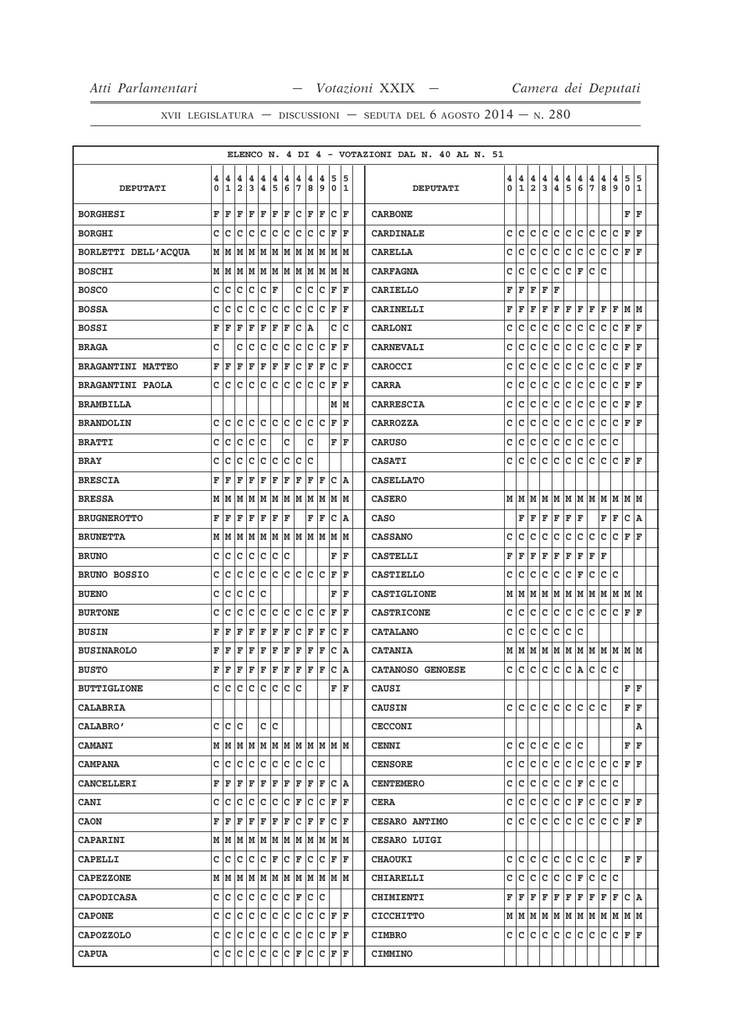|                          |        |        |                              |             |                    |              |        |                |                      |        |                                                                 |    |        | ELENCO N. 4 DI 4 - VOTAZIONI DAL N. 40 AL N. 51 |                  |                   |                     |             |        |              |         |                     |                  |          |                  |        |
|--------------------------|--------|--------|------------------------------|-------------|--------------------|--------------|--------|----------------|----------------------|--------|-----------------------------------------------------------------|----|--------|-------------------------------------------------|------------------|-------------------|---------------------|-------------|--------|--------------|---------|---------------------|------------------|----------|------------------|--------|
| <b>DEPUTATI</b>          | 4<br>0 | 4<br>1 | 4<br>$\overline{\mathbf{2}}$ | 4<br>3      | 4<br>4             | 4<br>5       | 4<br>6 | 4<br>7         | 4<br>8               | 4<br>9 | 5<br>$\mathbf 0$                                                |    | 5<br>1 | <b>DEPUTATI</b>                                 | 4<br>$\mathbf 0$ | 4<br>$\mathbf{1}$ | 4<br>$\overline{2}$ | 4<br>3      | 4<br>4 | 4<br>5       | 4<br>6  | 4<br>$\overline{7}$ | 4<br>8           | 4<br>و ا | 5<br>$\mathbf 0$ | 5<br>1 |
|                          |        |        |                              |             |                    |              |        |                |                      |        |                                                                 |    |        |                                                 |                  |                   |                     |             |        |              |         |                     |                  |          |                  |        |
| <b>BORGHESI</b>          | F      | F      | F                            | F           | F                  | F            | F      |                | C F                  | F      | C F                                                             |    |        | <b>CARBONE</b>                                  |                  |                   |                     |             |        |              |         |                     |                  |          | F                | ΙF     |
| <b>BORGHI</b>            | c      | c      | c                            | C           | C                  | lc.          | C      | lc.            | lc.                  | c      | F                                                               | ΙF |        | <b>CARDINALE</b>                                | C                | c                 | c                   | c           | c      | c            | lc.     | Ιc                  | c                | Ιc       | F                | ΙF     |
| BORLETTI DELL'ACQUA      |        | МИ     | м                            | lМ          |                    |              |        |                | M  M  M  M  M  M     |        | M M                                                             |    |        | <b>CARELLA</b>                                  | c                | c                 | c                   | c           | c      | c            | c       | c                   | c                | c        | F                | F      |
| <b>BOSCHI</b>            |        | MM     | M                            |             |                    |              |        |                |                      |        | M  M  M  M  M  M  M  M  M                                       |    |        | <b>CARFAGNA</b>                                 | с                | c                 | c                   | c           | c      | c            | F       | c                   | c                |          |                  |        |
| <b>BOSCO</b>             | c      | c      | с                            | c           | c                  | F            |        | c              | c                    | c      | F                                                               |    | F      | <b>CARIELLO</b>                                 | F                | F                 | F                   | F           | F      |              |         |                     |                  |          |                  |        |
| <b>BOSSA</b>             | C      | c      | C                            | c           | C                  | c            | c      |                | c c                  | c      | F                                                               |    | F      | <b>CARINELLI</b>                                | F                | F                 | F                   | F           | F      | F            | F       | F                   | F                | F        | MM               |        |
| <b>BOSSI</b>             | F      | F      | F                            | F           | F                  | F            | F      | C              | A                    |        | c                                                               |    | C      | CARLONI                                         | C                | c                 | C                   | $\mathbf c$ | lc.    | c            | lc.     | c                   | c                | lc       | F                | l F    |
| <b>BRAGA</b>             | c      |        | c                            | c           | c                  | $\mathsf C$  | с      | с              | с                    | с      | F                                                               |    | F      | <b>CARNEVALI</b>                                | C                | c                 | c                   | c           | c      | c            | c       | c                   | c                | c        | F                | ΙF     |
| <b>BRAGANTINI MATTEO</b> | F      | F      | F                            | F           | F                  | F            | F      | $\overline{C}$ | $\mathbf{F}$         | F      | c                                                               |    | F      | CAROCCI                                         | c                | c                 | c                   | c           | c      | $\mathsf{C}$ | c       | c                   | c                | c        | F                | F      |
| <b>BRAGANTINI PAOLA</b>  |        | c Ic   | c                            | lc.         | c c                |              |        |                | c c c c              |        | ΙF                                                              |    | F      | <b>CARRA</b>                                    | C                | c                 | c                   | c           | c      | c            | c       | c                   | c                | c        | F                | F      |
| <b>BRAMBILLA</b>         |        |        |                              |             |                    |              |        |                |                      |        | MM                                                              |    |        | <b>CARRESCIA</b>                                | с                | c                 | c                   | c           | c      | c            | lc.     | Iс                  | c                | Iс       | F                | ΙF     |
| <b>BRANDOLIN</b>         | c      | c      | c                            | c           | с                  | lc.          | lc.    | c              | Iс                   | c      | F                                                               |    | F      | <b>CARROZZA</b>                                 | c                | c                 | c                   | c           | c      | $\mathsf{C}$ | lc.     | c                   | c                | c        | F                | ΙF     |
| <b>BRATTI</b>            | c      | C      | C                            | c           | C                  |              | c      |                | c                    |        | F                                                               | F  |        | <b>CARUSO</b>                                   | C                | c                 | c                   | $\mathbf c$ | c      | $\mathtt{C}$ | c       | c                   | c                | c        |                  |        |
| <b>BRAY</b>              | c      | c      | c                            | c           | c                  | c            | c      | c              | c                    |        |                                                                 |    |        | <b>CASATI</b>                                   | C                | c                 | c                   | c           | c      | c            | lc.     | c                   | c                | lc.      | lF.              | ١F     |
| <b>BRESCIA</b>           | F      | F      | F                            | F           | F                  | F            | F      | F              | F                    | F      | C A                                                             |    |        | <b>CASELLATO</b>                                |                  |                   |                     |             |        |              |         |                     |                  |          |                  |        |
| <b>BRESSA</b>            |        | MN     |                              |             |                    |              |        |                |                      |        | M  M  M  M  M  M  M  M  M  M                                    |    |        | <b>CASERO</b>                                   |                  | мIм               | lМ                  | lм          |        |              |         |                     | M  M  M  M  M  M |          | M  M             |        |
| <b>BRUGNEROTTO</b>       | F      | F      | F                            | F           | F                  | F            | F      |                | F                    | ΙF     | c                                                               | ١A |        | <b>CASO</b>                                     |                  | F                 | F                   | F           | F      | F            | F       |                     | F                | F        | c                | A      |
| <b>BRUNETTA</b>          |        | M   M  | M                            |             |                    |              |        |                |                      |        | M  M  M  M  M  M  M  M  M                                       |    |        | <b>CASSANO</b>                                  | c                | c                 | c                   | c           | c      | c            | lc.     | lc.                 | c                | Iс       | F                | ΙF     |
| <b>BRUNO</b>             | C      | c      | с                            | c           | c.                 | c            | c      |                |                      |        | F                                                               |    | F      | <b>CASTELLI</b>                                 | F                | F                 | F                   | F           | F      | F            | F       | F                   | F                |          |                  |        |
| <b>BRUNO BOSSIO</b>      | c      | C      | c                            | lc.         | $\bar{\mathbf{C}}$ |              |        |                |                      |        | $ c c c c c _F$                                                 |    | F      | <b>CASTIELLO</b>                                | c                | c                 | c                   | $\mathbf c$ | lc.    | c            | F       | lc.                 | $\mathtt{C}$     | lc       |                  |        |
| <b>BUENO</b>             | c      | c      | c                            | c           | c                  |              |        |                |                      |        | F                                                               |    | F      | <b>CASTIGLIONE</b>                              | М                | M                 | M                   | M           | M      | M            | M       | M                   |                  | MMMM     |                  |        |
| <b>BURTONE</b>           | c      | c      | c                            | c           | c                  | c            | c      | c              | c                    | c      | F                                                               |    | F      | <b>CASTRICONE</b>                               | C                | c                 | c                   | c           | c      | c            | lc.     | Ιc                  | c                | Iс       | F                | F      |
| <b>BUSIN</b>             | F      | F      | F                            | F           | F                  | F            | F      |                | $ {\bf C}  {\bf F} $ | F      | c                                                               |    | F      | <b>CATALANO</b>                                 | c                | c                 | c                   | $\mathbf C$ | c      | c            | c       |                     |                  |          |                  |        |
| <b>BUSINAROLO</b>        | F      | F      | F                            | F           | F                  | F            | F      | F              | F                    | F      | с                                                               | ١A |        | <b>CATANIA</b>                                  | М                | M                 | M                   | M           | M      | M            | M       | M                   |                  | MMMM     |                  |        |
| <b>BUSTO</b>             |        | FF     | F                            | F           | F                  | F            | F      | $\mathbf{F}$   | F                    | ΙF     | $\mathbf C$                                                     | ١A |        | CATANOSO GENOESE                                | c                | c                 | c                   | $\mathbf C$ | c      | c            | A       | c                   | c                | lc       |                  |        |
| <b>BUTTIGLIONE</b>       | c      | C      | C                            | c           |                    | c c          | c      | c              |                      |        | F                                                               |    | F      | CAUSI                                           |                  |                   |                     |             |        |              |         |                     |                  |          | F                | lF.    |
| <b>CALABRIA</b>          |        |        |                              |             |                    |              |        |                |                      |        |                                                                 |    |        | <b>CAUSIN</b>                                   | c                | lc.               | c                   | c           | lc.    | c            | lc.     | lc.                 | c                |          | F                | F      |
| CALABRO'                 |        |        | c Ic Ic                      |             |                    | c c          |        |                |                      |        |                                                                 |    |        | <b>CECCONI</b>                                  |                  |                   |                     |             |        |              |         |                     |                  |          |                  | A      |
| <b>CAMANI</b>            |        |        |                              |             |                    |              |        |                |                      |        |                                                                 |    |        | <b>CENNI</b>                                    | c                | c                 | c                   | c           | c      | c            | lc.     |                     |                  |          | F                | ΙF     |
| <b>CAMPANA</b>           |        |        | C C C C C C C C C C          |             |                    |              |        |                |                      |        |                                                                 |    |        | <b>CENSORE</b>                                  | c                | lc.               | lc.                 | c           | lc.    |              |         |                     | c c c c c        |          | F F              |        |
| <b>CANCELLERI</b>        |        | FF     | F                            | F           | F                  | $\mathbf{F}$ | F      | $\mathbf{F}$   | $\mathbf{F}$         | F      | с                                                               | ١A |        | <b>CENTEMERO</b>                                | c                | c                 | c                   | c           | c      | c            | F       | с                   | c                | Iс       |                  |        |
| CANI                     | c      | с      | c                            | c           | c                  | $ C C $ F    |        |                | с                    |        | $C$ $F$ $F$                                                     |    |        | <b>CERA</b>                                     | с                | c                 | c                   | c           | c      | c            | F       | c                   | c                | c        | F  F             |        |
| <b>CAON</b>              | F      | F      | F                            | F           | F                  | F            | F      | с              | F                    | ΙF     | c                                                               |    | F      | <b>CESARO ANTIMO</b>                            | c                | c                 | c                   | c           | c      | $\mathsf{C}$ | c       | c                   | c                | c        | F                | ١F     |
| <b>CAPARINI</b>          |        |        |                              |             |                    |              |        |                |                      |        |                                                                 |    |        | <b>CESARO LUIGI</b>                             |                  |                   |                     |             |        |              |         |                     |                  |          |                  |        |
| CAPELLI                  |        | C C    | lc.                          | C C F C F C |                    |              |        |                |                      |        | C F F                                                           |    |        | <b>CHAOUKI</b>                                  | C                | с                 | c                   | c           | c      | c            | lc.     | с                   | c                |          | F F              |        |
| <b>CAPEZZONE</b>         |        |        |                              |             |                    |              |        |                |                      |        | $M$   $M$   $M$   $M$   $M$   $M$   $M$   $M$   $M$   $M$   $M$ |    |        | <b>CHIARELLI</b>                                | c                | с                 | с                   | c           | c      | c            | F       | c                   | c                | lc       |                  |        |
| <b>CAPODICASA</b>        |        |        | C C C C C C C F C C          |             |                    |              |        |                |                      |        |                                                                 |    |        | <b>CHIMIENTI</b>                                | F                | F                 | F                   | F           | F      | F            | F       | F                   | F                | F        | $ c $ A          |        |
| <b>CAPONE</b>            |        | c c    | c                            | с           |                    |              |        |                | C C C C C            |        | CF                                                              |    | F      | <b>CICCHITTO</b>                                |                  | мIм               | lм                  | M           |        |              | M M M M |                     |                  | lм       | M M              |        |
| <b>CAPOZZOLO</b>         |        | c c    | ∣c.                          | c c c c     |                    |              |        |                | c c                  |        | $C$ $F$ $F$                                                     |    |        | <b>CIMBRO</b>                                   | c                | c                 | c                   | c           | c      | c            | lc.     | c                   | c                | c        | $\mathbf F$      | ΙF     |
| <b>CAPUA</b>             |        |        |                              |             |                    |              |        |                |                      |        | C  C C  C C  C F  C C  F F F                                    |    |        | <b>CIMMINO</b>                                  |                  |                   |                     |             |        |              |         |                     |                  |          |                  |        |
|                          |        |        |                              |             |                    |              |        |                |                      |        |                                                                 |    |        |                                                 |                  |                   |                     |             |        |              |         |                     |                  |          |                  |        |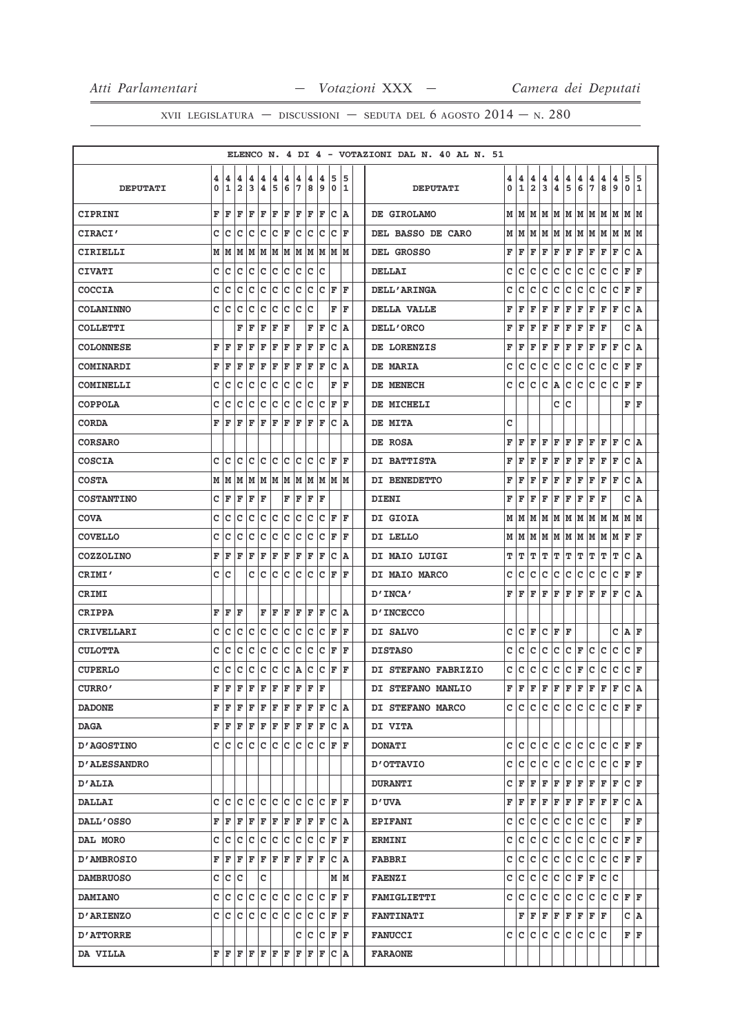|                     |        |                   |                              |         |        |                    |         |        |                     |          |                                                                                                                                               |    |         | ELENCO N. 4 DI 4 - VOTAZIONI DAL N. 40 AL N. 51                                                                                                                    |        |
|---------------------|--------|-------------------|------------------------------|---------|--------|--------------------|---------|--------|---------------------|----------|-----------------------------------------------------------------------------------------------------------------------------------------------|----|---------|--------------------------------------------------------------------------------------------------------------------------------------------------------------------|--------|
| <b>DEPUTATI</b>     | 4<br>0 | 4<br>$\mathbf{1}$ | 4<br>$\overline{\mathbf{2}}$ | 4<br>3  | 4<br>4 | 4<br>5             | 4<br>6  | 4<br>7 | 4<br>8              | 4<br>و ا | 5<br>0                                                                                                                                        |    | 5<br>11 | 5<br>4<br>4<br>4<br>4<br>4<br>4<br>4<br>4<br>4<br>4<br>5<br>6<br>$\overline{7}$<br>8<br>$\mathbf{1}$<br>$\overline{a}$<br>3<br>9<br>0<br>0<br>4<br><b>DEPUTATI</b> | 5<br>1 |
| CIPRINI             | F      | ΙF                | ΙF                           |         | F F    | FF                 |         |        | F F                 | lF.      | $ C $ A                                                                                                                                       |    |         | IM   M   M   M   M<br>lм<br>DE GIROLAMO<br>MM<br> M  M<br>lм                                                                                                       |        |
| <b>CIRACI'</b>      | c      | с                 | c                            | Iс      | lc.    | $ C $ $\mathbf{F}$ |         |        | c c c               |          | C F                                                                                                                                           |    |         | M  M  M  M  M  M  M  M<br> M  M<br>DEL BASSO DE CARO<br>М<br>lМ                                                                                                    |        |
| CIRIELLI            |        | MM                |                              |         |        |                    |         |        |                     |          | M   M   M   M   M   M   M   M   M                                                                                                             |    |         | F<br>F<br>F<br>F<br>F<br>F<br>F<br>F<br>F<br>F<br>c<br>DEL GROSSO                                                                                                  | A      |
| <b>CIVATI</b>       | c      | Ιc                | lc.                          |         |        |                    |         |        | c  c  c  c  c  c  c |          |                                                                                                                                               |    |         | F<br>с<br>с<br>c<br>с<br>c<br>с<br>c<br>с<br>c<br>c<br>l F<br><b>DELLAI</b>                                                                                        |        |
| <b>COCCIA</b>       | c      | c                 | c                            | c       | c      | Iс                 | Ιc      | c      | Ιc                  | с        | ΙF                                                                                                                                            |    | ΙF      | с<br>c<br>c<br>с<br>с<br>с<br>c<br>с<br>с<br>с<br>F<br><b>DELL'ARINGA</b>                                                                                          | F      |
| <b>COLANINNO</b>    | c      | Iс                | c                            | Ιc      | c      | Iс                 | Ιc      | lc.    | lc                  |          | F                                                                                                                                             |    | ΙF      | c<br>DELLA VALLE<br>F<br>F<br>F<br>F<br>F<br>F<br>F<br>F<br>F<br>F                                                                                                 | A      |
| <b>COLLETTI</b>     |        |                   | F                            | F       | ΙF     | F                  | F       |        | F                   | F        | c                                                                                                                                             |    | ١A      | F<br>F<br>F<br>F<br>F<br>F<br>F<br>c<br>F<br>F<br>DELL'ORCO                                                                                                        | A      |
| <b>COLONNESE</b>    | F      | l F               | ΙF                           | F       | ΙF     | ΙF                 | ΙF      | ΙF     | ΙF                  | F        | lc                                                                                                                                            |    | ١A      | $\mathbf{C}$<br>F<br>F<br>F<br>F<br>F<br>F<br>F<br>F<br>F<br>F<br>DE LORENZIS                                                                                      | A      |
| <b>COMINARDI</b>    | F      | ΙF                | ΙF                           | l F     | ΙF     | F                  | F       | F      | F                   | ΙF       | Ιc                                                                                                                                            |    | ١A      | F<br>DE MARIA<br>c<br>c<br>c<br>с<br>c<br>с<br>c<br>с<br>c<br>c<br>ΙF                                                                                              |        |
| COMINELLI           | C      | lc                | c                            | lc      | Iс     | Iс                 | Ιc      | Ιc     | Ιc                  |          | F                                                                                                                                             |    | F       | c<br>c<br>c<br>c<br>c<br>c<br>c<br>F<br>c<br>A<br>c<br>DE MENECH                                                                                                   | F      |
| <b>COPPOLA</b>      | c      | с                 | c                            |         | c c    |                    | c c     |        |                     |          | C C C F                                                                                                                                       | ΙF |         | c<br>F<br>c<br>ΙF<br>DE MICHELI                                                                                                                                    |        |
| <b>CORDA</b>        | F      | ΙF                | F                            | F       | ΙF     | F                  | ΙF      | F      | F                   | F        | c                                                                                                                                             |    | ١A      | c<br>DE MITA                                                                                                                                                       |        |
| <b>CORSARO</b>      |        |                   |                              |         |        |                    |         |        |                     |          |                                                                                                                                               |    |         | c<br>DE ROSA<br>F<br>F<br>F<br>F<br>F<br>F<br>F<br>F<br>F<br>F                                                                                                     | ١A     |
| <b>COSCIA</b>       | C      | lc                | c                            | lc      | lc     | lc.                | lc.     | lc.    | Iс                  | Ιc       | ١F                                                                                                                                            |    | ΙF      | $\mathtt{C}$<br>F<br>F<br>F<br>F<br>F<br>F<br>F<br>F<br>F<br>F<br>DI BATTISTA                                                                                      | A      |
| <b>COSTA</b>        |        |                   | MMM                          |         |        |                    |         |        |                     |          | M M M M M M M M M                                                                                                                             |    |         | c<br>F<br>F<br>F<br>F<br>F<br>F<br>F<br>F<br>F<br>F<br>DI BENEDETTO                                                                                                | A      |
| <b>COSTANTINO</b>   | c      | F                 | F                            | $F$ $F$ |        |                    | F       | F      | F                   | ΙF       |                                                                                                                                               |    |         | c<br><b>DIENI</b><br>F<br>F<br>F<br>F<br>F<br>F<br>ΙF<br>F<br>F<br>١A                                                                                              |        |
| <b>COVA</b>         | C      | Iс                | c                            | lc      | Iс     | Ιc                 | ١c      | Ιc     | lc                  | Ιc       | ΙF                                                                                                                                            |    | ΙF      | DI GIOIA<br>М<br>lМ<br>M<br>М<br>lм<br>м<br>lм<br>M<br>M<br>M<br>м                                                                                                 | lМ     |
| <b>COVELLO</b>      | c      | Iс                | c                            | Iс      | lc.    |                    | c c     |        | c c                 |          | $ C $ $\mathbf{F}$                                                                                                                            | ΙF |         | F<br>ΙF<br>DI LELLO<br>М<br>M<br>lМ<br>М<br>M<br>М<br>M<br>M<br>M<br>M                                                                                             |        |
| <b>COZZOLINO</b>    | F      | ΙF                | F                            | l F     | l F    | F                  | lF.     | F      | lF.                 | F        | Ιc                                                                                                                                            |    | ١A      | т<br>т<br>т<br>c<br>т<br>т<br>т<br>т<br>т<br>т<br>т<br>DI MAIO LUIGI                                                                                               | A      |
| CRIMI'              | c      | c                 |                              |         | c c    |                    | c c c c |        |                     | lc       | ١F                                                                                                                                            |    | ΙF      | c<br>c<br>c<br>c<br>c<br>c<br>c<br>c<br>F<br>с<br>с<br>DI MAIO MARCO                                                                                               | F      |
| <b>CRIMI</b>        |        |                   |                              |         |        |                    |         |        |                     |          |                                                                                                                                               |    |         | $\mathbf{C}$<br>F<br>F<br>ΙF<br>F<br>F<br>F<br>F<br>F<br>F<br>F<br>"INCA                                                                                           | A      |
| CRIPPA              | F      | ΙF                | F                            |         | F      | lF.                | F       | F      | ΙF                  | ΙF       | lc.                                                                                                                                           | ١A |         | <b>D'INCECCO</b>                                                                                                                                                   |        |
| CRIVELLARI          | c      | с                 | с                            | Ιc      | Iс     | lc.                | Iс      | lc.    | Iс                  | Ιc       | lF.                                                                                                                                           |    | F       | C<br>F<br>c<br>F<br>c<br>F<br>с<br>Α<br>ΙF<br>DI SALVO                                                                                                             |        |
| <b>CULOTTA</b>      | c      | Ιc                | с                            | Ιc      | Iс     | Iс                 | Iс      | Iс     | Iс                  | Ιc       | ΙF                                                                                                                                            |    | ΙF      | c<br>c<br>c<br>с<br>c<br>с<br>с<br>F<br>с<br>c<br>с<br>ΙF<br><b>DISTASO</b>                                                                                        |        |
| <b>CUPERLO</b>      | с      | Ιc                | c                            | Ιc      | c      | c                  | c       | ۱A.    | c                   | Iс       | F                                                                                                                                             |    | ΙF      | $\mathtt{C}$<br>с<br>c<br>с<br>с<br>с<br>с<br>F<br>с<br>с<br>c<br>ΙF<br>DI STEFANO FABRIZIO                                                                        |        |
| CURRO'              | F      | İF                | F                            | F       | ΙF     | F                  | ΙF      | F      | lF.                 | ΙF       |                                                                                                                                               |    |         | F<br>F<br>F<br>F<br>F<br>F<br>F<br>F<br>F<br>c<br>F<br>١A<br>DI STEFANO MANLIO                                                                                     |        |
| <b>DADONE</b>       |        | F F.              |                              |         |        |                    |         |        |                     |          | F F F F F F F F C A                                                                                                                           |    |         | c Ic<br>c<br>c<br>c.<br>c<br> c c<br>lc.<br>lc.<br>FF<br>DI STEFANO MARCO                                                                                          |        |
| <b>DAGA</b>         |        |                   |                              |         |        |                    |         |        |                     |          | F   F   F   F   F   F   F   F   F   C   A                                                                                                     |    |         | DI VITA                                                                                                                                                            |        |
| <b>D'AGOSTINO</b>   |        |                   |                              |         |        |                    |         |        |                     |          | c  c  c  c  c  c  c  c  c  c  F  F                                                                                                            |    |         | c<br>lc.<br>c<br>c<br>c<br>c<br>lc.<br>с<br>c<br>c<br>F F<br><b>DONATI</b>                                                                                         |        |
| <b>D'ALESSANDRO</b> |        |                   |                              |         |        |                    |         |        |                     |          |                                                                                                                                               |    |         | lc.<br>c<br>lc.<br>с<br>lc.<br>c<br>lc.<br>с<br>lc.<br>lc.<br>F F<br><b>D'OTTAVIO</b>                                                                              |        |
| <b>D'ALIA</b>       |        |                   |                              |         |        |                    |         |        |                     |          |                                                                                                                                               |    |         | c<br>F<br>F<br>F<br>F<br>F<br>F<br>F<br>F<br>F<br>C F<br><b>DURANTI</b>                                                                                            |        |
| <b>DALLAI</b>       |        |                   |                              |         |        |                    |         |        |                     |          |                                                                                                                                               |    |         | C A<br>F<br>F<br>F<br>F<br>F<br>F<br>F<br>F<br>F<br>F<br><b>D'UVA</b>                                                                                              |        |
| <b>DALL'OSSO</b>    |        | FF                |                              |         |        |                    |         |        | F F F F F F F F F   |          | IC IA                                                                                                                                         |    |         | c<br>c<br>lc.<br>F F<br>c<br>c<br>c<br>с<br>с<br>c<br><b>EPIFANI</b>                                                                                               |        |
| DAL MORO            |        |                   |                              |         |        |                    |         |        |                     |          | C C C C C C C C C C F F                                                                                                                       |    |         | lc.<br>lc.<br>$\mathtt{C}$<br>$\mathbf{C}$<br>c<br>c<br>lc.<br>c<br>c<br>c<br>F F<br><b>ERMINI</b>                                                                 |        |
| <b>D'AMBROSIO</b>   |        |                   |                              |         |        |                    |         |        |                     |          | F   F   F   F   F   F   F   F   F   C   A                                                                                                     |    |         | c<br>c<br>c<br>lc.<br>c<br>F F<br>Iс<br>с<br>с<br>с<br>c<br><b>FABBRI</b>                                                                                          |        |
| <b>DAMBRUOSO</b>    |        |                   | c  c  c                      |         | c      |                    |         |        |                     |          | M M                                                                                                                                           |    |         | c<br>lc<br>c<br>lc.<br>c<br>c<br>с<br>F<br>F<br>lC.<br><b>FAENZI</b>                                                                                               |        |
| <b>DAMIANO</b>      |        |                   |                              |         |        |                    |         |        |                     |          | C C C C C C C C C C F F                                                                                                                       |    |         | c<br>lc.<br>с<br>c<br>c<br>c<br> c<br>c.<br> C C F F<br><b>FAMIGLIETTI</b>                                                                                         |        |
| <b>D'ARIENZO</b>    |        |                   |                              |         |        |                    |         |        |                     |          |                                                                                                                                               |    |         | F<br>F<br>F<br>F<br>F<br>F<br>F<br>F<br>C   A<br><b>FANTINATI</b>                                                                                                  |        |
| <b>D'ATTORRE</b>    |        |                   |                              |         |        |                    |         |        |                     |          | C C C F F                                                                                                                                     |    |         | c c<br>c<br>lc.<br> c c<br>FF<br>c Ic<br>Iс<br><b>FANUCCI</b>                                                                                                      |        |
| DA VILLA            |        |                   |                              |         |        |                    |         |        |                     |          | ${\bf F}\, \,{\bf F}\, \,{\bf F}\, \,{\bf F}\, \,{\bf F}\, \,{\bf F}\, \,{\bf F}\, \,{\bf F}\, \,{\bf F}\, \,{\bf F}\, \,{\bf C}\, \,{\bf A}$ |    |         | <b>FARAONE</b>                                                                                                                                                     |        |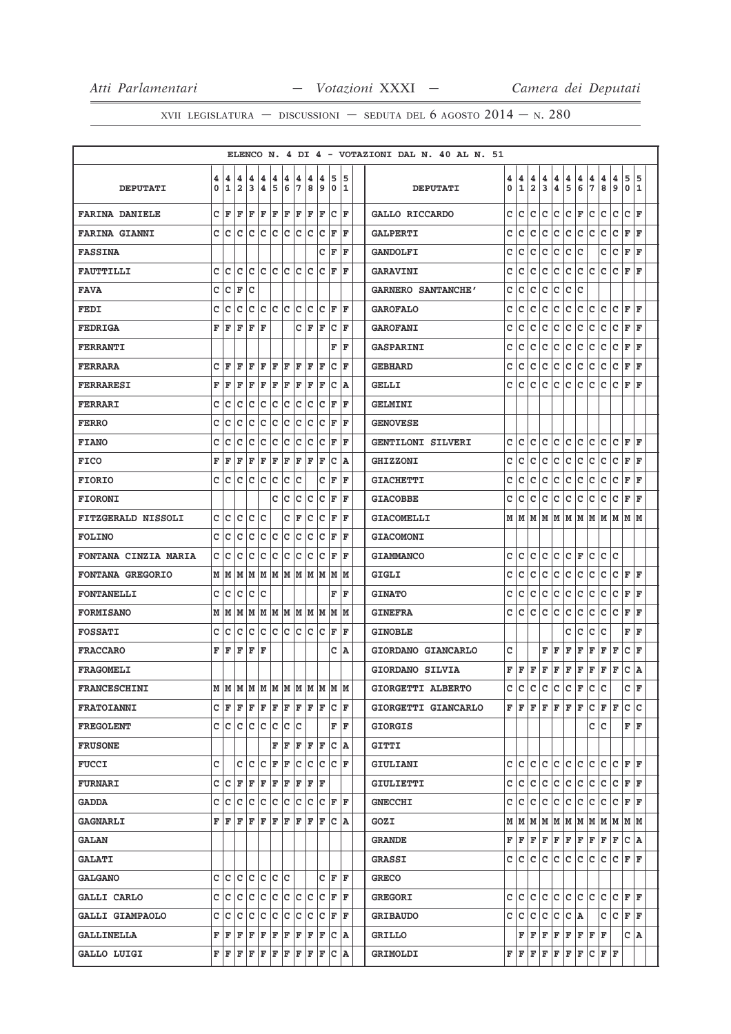|                           |        |        |                     |        |                                                                                                                                                                                                                                                                                                                                                                                                                                                                                            |         |                     |     |                  |     |                                                                                                                                                                                                            |     |     | ELENCO N. 4 DI 4 - VOTAZIONI DAL N. 40 AL N. 51 |        |                   |                     |                              |                              |               |                                       |               |                                   |        |          |    |
|---------------------------|--------|--------|---------------------|--------|--------------------------------------------------------------------------------------------------------------------------------------------------------------------------------------------------------------------------------------------------------------------------------------------------------------------------------------------------------------------------------------------------------------------------------------------------------------------------------------------|---------|---------------------|-----|------------------|-----|------------------------------------------------------------------------------------------------------------------------------------------------------------------------------------------------------------|-----|-----|-------------------------------------------------|--------|-------------------|---------------------|------------------------------|------------------------------|---------------|---------------------------------------|---------------|-----------------------------------|--------|----------|----|
| <b>DEPUTATI</b>           | 4<br>0 | 4<br>1 | 4<br>$\overline{a}$ | 4<br>3 | 4<br>4                                                                                                                                                                                                                                                                                                                                                                                                                                                                                     | 4<br>15 | 4<br>6 <sub>6</sub> | 4   | 4<br> 7 8 9      | 4   | 5<br>  0   1                                                                                                                                                                                               |     | 15  | <b>DEPUTATI</b>                                 | 4<br>0 | 4<br>$\mathbf{1}$ | 4<br>$\overline{2}$ | 4<br>$\overline{\mathbf{3}}$ | 4<br>$\overline{\mathbf{4}}$ | $\frac{4}{5}$ | $\begin{array}{c} 4 \\ 6 \end{array}$ | $\frac{4}{7}$ | 4<br>8                            | 4<br>9 | 5<br>0 1 | 5  |
| <b>FARINA DANIELE</b>     |        | CF     |                     |        | $\mathbf{F} \left  \mathbf{F} \right. \left  \mathbf{F} \right. \left  \mathbf{F} \right. \left  \mathbf{F} \right. \left  \mathbf{F} \right. \left  \mathbf{F} \right. \left  \mathbf{F} \right. \left  \mathbf{F} \right. \left  \mathbf{F} \right. \left  \mathbf{F} \right. \left  \mathbf{F} \right. \left  \mathbf{F} \right. \left  \mathbf{F} \right. \left  \mathbf{F} \right. \left  \mathbf{F} \right. \left  \mathbf{F} \right. \left  \mathbf{F} \right. \left  \mathbf{F} \$ |         |                     |     |                  |     | C F                                                                                                                                                                                                        |     |     | <b>GALLO RICCARDO</b>                           | c      | c                 | c                   | c                            | c                            | c             | F                                     | c             | c                                 | c      | C F      |    |
| <b>FARINA GIANNI</b>      |        | c Ic   |                     |        |                                                                                                                                                                                                                                                                                                                                                                                                                                                                                            |         |                     |     |                  |     | $C C C C C C C C F F$                                                                                                                                                                                      |     |     | <b>GALPERTI</b>                                 | c      | с                 | c                   | с                            | c                            | c             | c                                     | c             | c                                 | c      | F        | F  |
| <b>FASSINA</b>            |        |        |                     |        |                                                                                                                                                                                                                                                                                                                                                                                                                                                                                            |         |                     |     |                  |     | C F                                                                                                                                                                                                        |     | ١F  | <b>GANDOLFI</b>                                 | с      | с                 | c                   | с                            | с                            | с             | с                                     |               | с                                 | с      | F        | F  |
| <b>FAUTTILLI</b>          | c l    | с      | с                   |        | c c c c c c                                                                                                                                                                                                                                                                                                                                                                                                                                                                                |         |                     |     |                  |     | C F F                                                                                                                                                                                                      |     |     | <b>GARAVINI</b>                                 | с      | с                 | с                   | с                            | с                            | с             | c                                     | с             | с                                 | c      | F        | F  |
| <b>FAVA</b>               | c      | c      | F                   | Iс     |                                                                                                                                                                                                                                                                                                                                                                                                                                                                                            |         |                     |     |                  |     |                                                                                                                                                                                                            |     |     | GARNERO SANTANCHE'                              | c      | с                 | c                   | с                            | c                            | c             | c                                     |               |                                   |        |          |    |
| <b>FEDI</b>               | c      | c      | C                   |        | c c c c c c                                                                                                                                                                                                                                                                                                                                                                                                                                                                                |         |                     |     |                  |     | $ C $ $\mathbf{F}$                                                                                                                                                                                         | ١F  |     | <b>GAROFALO</b>                                 | c      | c                 | c                   | c                            | c                            | c             | c                                     | c             | c                                 | c      | F F      |    |
| <b>FEDRIGA</b>            | F      | ١F     | F                   | F      | ΙF                                                                                                                                                                                                                                                                                                                                                                                                                                                                                         |         |                     |     | CF               | lF. | lc.                                                                                                                                                                                                        |     | ΙF  | <b>GAROFANI</b>                                 | C      | c                 | c                   | с                            | c                            | c             | c                                     | c             | c                                 | c      | F F      |    |
| <b>FERRANTI</b>           |        |        |                     |        |                                                                                                                                                                                                                                                                                                                                                                                                                                                                                            |         |                     |     |                  |     | F                                                                                                                                                                                                          |     | ΙF  | <b>GASPARINI</b>                                | с      | с                 | c                   | с                            | с                            | с             | с                                     | с             | с                                 | с      | F F      |    |
| <b>FERRARA</b>            |        | CF     | F                   | F      | F                                                                                                                                                                                                                                                                                                                                                                                                                                                                                          | F       |                     |     | $F$ $F$ $F$      | ΙF  | Ιc                                                                                                                                                                                                         |     | ١F  | <b>GEBHARD</b>                                  | с      | с                 | c                   | с                            | c                            | с             | c                                     | c             | c                                 | c      | F F      |    |
| <b>FERRARESI</b>          |        | FF     | F                   | lF.    | l F                                                                                                                                                                                                                                                                                                                                                                                                                                                                                        | F       |                     | F F | F                | ΙF  | lc.                                                                                                                                                                                                        |     | ١A  | <b>GELLI</b>                                    | c      | c                 | c                   | с                            | с                            | с             | с                                     | c             | с                                 | c      | F        | ١F |
| FERRARI                   | с      | с      | с                   | с      | IC.                                                                                                                                                                                                                                                                                                                                                                                                                                                                                        |         | c c                 |     | c c              |     | $ C $ $\mathbf{F}$                                                                                                                                                                                         |     | ΙF  | <b>GELMINI</b>                                  |        |                   |                     |                              |                              |               |                                       |               |                                   |        |          |    |
| <b>FERRO</b>              | c      | с      | с                   | c      | c                                                                                                                                                                                                                                                                                                                                                                                                                                                                                          | Ιc      | c                   | lc. | Iс               | lc. | lF.                                                                                                                                                                                                        |     | ΙF  | <b>GENOVESE</b>                                 |        |                   |                     |                              |                              |               |                                       |               |                                   |        |          |    |
| <b>FIANO</b>              | с      | с      | с                   | с      | c                                                                                                                                                                                                                                                                                                                                                                                                                                                                                          | c       | c                   |     | c c              |     | C F                                                                                                                                                                                                        |     | ١F  | <b>GENTILONI SILVERI</b>                        | c      | c                 | c                   | с                            | c                            | c             | c                                     | c             | c                                 | C F F  |          |    |
| <b>FICO</b>               | F      | F      | F                   | F      | F                                                                                                                                                                                                                                                                                                                                                                                                                                                                                          | F       | F                   |     | F F F            |     | C A                                                                                                                                                                                                        |     |     | <b>GHIZZONI</b>                                 | c      | с                 | с                   | с                            | c                            | с             | c                                     | с             | с                                 | с      | F F      |    |
| <b>FIORIO</b>             | C.     | c      |                     |        | c c c                                                                                                                                                                                                                                                                                                                                                                                                                                                                                      | lc.     |                     | c c |                  |     | CF                                                                                                                                                                                                         |     | ΙF  | <b>GIACHETTI</b>                                | с      | c                 | c                   | c                            | с                            | с             | c                                     | c             | с                                 | с      | F        | F  |
| <b>FIORONI</b>            |        |        |                     |        |                                                                                                                                                                                                                                                                                                                                                                                                                                                                                            |         | c c                 |     |                  |     | C C C F                                                                                                                                                                                                    | ΙF  |     | <b>GIACOBBE</b>                                 | c      | с                 | с                   | с                            | с                            | с             | с                                     | с             | с                                 | c      | F F      |    |
| <b>FITZGERALD NISSOLI</b> | c      | c      | с                   | lc.    | Iс                                                                                                                                                                                                                                                                                                                                                                                                                                                                                         |         |                     | C F | lc.              | lc  | ΙF                                                                                                                                                                                                         |     | l F | <b>GIACOMELLI</b>                               | м      | M                 | м                   | м                            | M                            | м             | lМ                                    | M             | lм                                | м      | M  M     |    |
| <b>FOLINO</b>             | C.     | с      | с                   |        |                                                                                                                                                                                                                                                                                                                                                                                                                                                                                            |         |                     |     |                  |     | C  C  C  C  C  C  C  F  F                                                                                                                                                                                  |     |     | <b>GIACOMONI</b>                                |        |                   |                     |                              |                              |               |                                       |               |                                   |        |          |    |
| FONTANA CINZIA MARIA      | c      | c      | c                   | с      |                                                                                                                                                                                                                                                                                                                                                                                                                                                                                            |         |                     |     | c  c  c  c  c  c |     | ١F                                                                                                                                                                                                         |     | ΙF  | <b>GIAMMANCO</b>                                | c      | c                 | c                   | c                            | c                            | $\mathbf{C}$  | F                                     | c             | c                                 | c      |          |    |
| <b>FONTANA GREGORIO</b>   |        |        |                     |        |                                                                                                                                                                                                                                                                                                                                                                                                                                                                                            |         |                     |     |                  |     |                                                                                                                                                                                                            |     |     | GIGLI                                           | c      | c                 | c                   | c                            | c                            | c             | c                                     | c             | c                                 |        | C F F    |    |
| <b>FONTANELLI</b>         | c      | с      |                     | C C C  |                                                                                                                                                                                                                                                                                                                                                                                                                                                                                            |         |                     |     |                  |     | F                                                                                                                                                                                                          | ΙF  |     | <b>GINATO</b>                                   | с      | с                 | с                   | с                            | с                            | с             | c                                     | с             | с                                 | с      | F F      |    |
| <b>FORMISANO</b>          |        | мM     |                     |        |                                                                                                                                                                                                                                                                                                                                                                                                                                                                                            |         |                     |     |                  |     | M M M M M M M M M M                                                                                                                                                                                        |     |     | <b>GINEFRA</b>                                  | c      | c                 | c                   | c                            | c                            | c             | c                                     | c             | c                                 | c      | F        | F  |
| <b>FOSSATI</b>            | c      | с      |                     |        |                                                                                                                                                                                                                                                                                                                                                                                                                                                                                            |         |                     |     |                  |     | c c c c c c c c F F                                                                                                                                                                                        |     |     | <b>GINOBLE</b>                                  |        |                   |                     |                              |                              | с             | с                                     | с             | c                                 |        | F F      |    |
| <b>FRACCARO</b>           | F      | ١F     | F                   | lF.    | ΙF                                                                                                                                                                                                                                                                                                                                                                                                                                                                                         |         |                     |     |                  |     |                                                                                                                                                                                                            | C A |     | GIORDANO GIANCARLO                              | с      |                   |                     | F                            | F                            | F             | F                                     | F             | F                                 | F      | c        | F  |
| <b>FRAGOMELI</b>          |        |        |                     |        |                                                                                                                                                                                                                                                                                                                                                                                                                                                                                            |         |                     |     |                  |     |                                                                                                                                                                                                            |     |     | GIORDANO SILVIA                                 | F      | F                 | F                   | F                            | F                            | F             | F                                     | F             | F                                 | F      | c        | ١A |
| FRANCESCHINI              |        |        |                     |        |                                                                                                                                                                                                                                                                                                                                                                                                                                                                                            |         |                     |     |                  |     |                                                                                                                                                                                                            |     |     | GIORGETTI ALBERTO                               | C      | c                 | c                   | $\mathtt{C}$                 | c                            | c             | F                                     | c             | C                                 |        | c        | F  |
| <b>FRATOIANNI</b>         |        |        |                     |        |                                                                                                                                                                                                                                                                                                                                                                                                                                                                                            |         |                     |     |                  |     | C F F F F F F F F F C F                                                                                                                                                                                    |     |     | GIORGETTI GIANCARLO                             | FF     |                   | F                   | F                            |                              | F F F         |                                       |               | $C$ $ F F$                        |        | c lc     |    |
| <b>FREGOLENT</b>          |        | c c    |                     |        | c c c c c c                                                                                                                                                                                                                                                                                                                                                                                                                                                                                |         |                     |     |                  |     |                                                                                                                                                                                                            | FF  |     | <b>GIORGIS</b>                                  |        |                   |                     |                              |                              |               |                                       |               | c c                               |        | FF       |    |
| <b>FRUSONE</b>            |        |        |                     |        |                                                                                                                                                                                                                                                                                                                                                                                                                                                                                            |         |                     |     | F F F F F        |     | IC IA                                                                                                                                                                                                      |     |     | GITTI                                           |        |                   |                     |                              |                              |               |                                       |               |                                   |        |          |    |
| <b>FUCCI</b>              | c      |        |                     |        |                                                                                                                                                                                                                                                                                                                                                                                                                                                                                            |         |                     |     |                  |     | C C C F F C C C C F                                                                                                                                                                                        |     |     | GIULIANI                                        |        | c c c             |                     |                              |                              |               |                                       |               | c c c c c c c F F                 |        |          |    |
| <b>FURNARI</b>            |        | C C    |                     | F F    | $F$ $F$ $F$ $F$ $F$ $F$                                                                                                                                                                                                                                                                                                                                                                                                                                                                    |         |                     |     |                  |     |                                                                                                                                                                                                            |     |     | <b>GIULIETTI</b>                                | c      | с                 | с                   | с                            | с                            | с             | c                                     | c             | c                                 | с      | F F      |    |
| <b>GADDA</b>              | c      | с      | с                   | с      | c                                                                                                                                                                                                                                                                                                                                                                                                                                                                                          |         | c c                 |     | c c              |     | C F F                                                                                                                                                                                                      |     |     | <b>GNECCHI</b>                                  | с      | с                 | с                   | с                            | с                            | c             | c                                     | c             | с                                 | с      | FF       |    |
| <b>GAGNARLI</b>           |        | FF     | F                   | lF.    | F                                                                                                                                                                                                                                                                                                                                                                                                                                                                                          |         |                     |     | $F$ $F$ $F$ $F$  |     | F C A                                                                                                                                                                                                      |     |     | GOZI                                            |        | MM                |                     |                              |                              |               |                                       |               | M   M   M   M   M   M   M   M   M |        |          |    |
| <b>GALAN</b>              |        |        |                     |        |                                                                                                                                                                                                                                                                                                                                                                                                                                                                                            |         |                     |     |                  |     |                                                                                                                                                                                                            |     |     | <b>GRANDE</b>                                   |        | FF                | F                   | F                            | F                            |               | $\bf  F F F $                         |               | F                                 | F      | C A      |    |
| <b>GALATI</b>             |        |        |                     |        |                                                                                                                                                                                                                                                                                                                                                                                                                                                                                            |         |                     |     |                  |     |                                                                                                                                                                                                            |     |     | <b>GRASSI</b>                                   |        | C C               | с                   | c                            | с                            |               | C C                                   | $\mathbf{C}$  | c                                 |        | C F F    |    |
| <b>GALGANO</b>            |        |        | c c c c c c c c     |        |                                                                                                                                                                                                                                                                                                                                                                                                                                                                                            |         |                     |     |                  |     | C F F                                                                                                                                                                                                      |     |     | <b>GRECO</b>                                    |        |                   |                     |                              |                              |               |                                       |               |                                   |        |          |    |
| <b>GALLI CARLO</b>        |        |        |                     |        |                                                                                                                                                                                                                                                                                                                                                                                                                                                                                            |         |                     |     |                  |     | C C C C C C C C C C F F                                                                                                                                                                                    |     |     | <b>GREGORI</b>                                  | C      | c                 | с                   | c                            | $\mathbf{C}$                 |               |                                       |               | $ c c c c c _F _F$                |        |          |    |
| <b>GALLI GIAMPAOLO</b>    | C I    | с      | с                   | с      | lc.                                                                                                                                                                                                                                                                                                                                                                                                                                                                                        |         |                     |     | c c c c          |     | $ C $ $\mathbf{F}$                                                                                                                                                                                         |     | ΙF  | <b>GRIBAUDO</b>                                 | с      | с                 | с                   | с                            | с                            | C A           |                                       |               | с                                 | c      | F F      |    |
| <b>GALLINELLA</b>         |        |        |                     |        |                                                                                                                                                                                                                                                                                                                                                                                                                                                                                            |         |                     |     |                  |     | $\mathbf{F} \,   \, \mathbf{F} \,   \, \mathbf{F} \,   \, \mathbf{F} \,   \, \mathbf{F} \,   \, \mathbf{F} \,   \, \mathbf{F} \,   \, \mathbf{F} \,   \, \mathbf{F} \,   \, \mathbf{C} \,   \, \mathbf{A}$ |     |     | <b>GRILLO</b>                                   |        | F                 | F                   | F                            | F                            | F             |                                       | F F F         |                                   |        | C   A    |    |
| GALLO LUIGI               |        |        |                     |        |                                                                                                                                                                                                                                                                                                                                                                                                                                                                                            |         |                     |     |                  |     | $\mathbf{F} \,   \, \mathbf{F} \,   \, \mathbf{F} \,   \, \mathbf{F} \,   \, \mathbf{F} \,   \, \mathbf{F} \,   \, \mathbf{F} \,   \, \mathbf{F} \,   \, \mathbf{F} \,   \, \mathbf{C} \,   \, \mathbf{A}$ |     |     | GRIMOLDI                                        |        | F F F             |                     | F                            | F                            | F F           |                                       |               | C F F                             |        |          |    |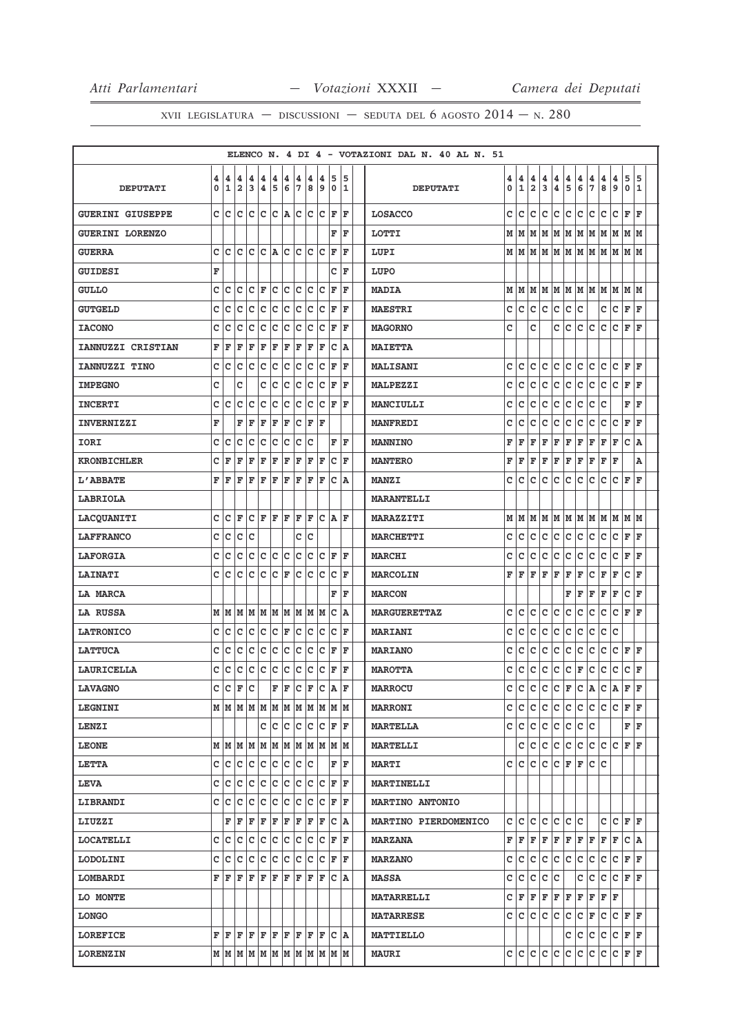|                         |   |      |                                                                                                             |               |                    |     |     |                    |                                                       |              |                                                                 |     |    | ELENCO N. 4 DI 4 - VOTAZIONI DAL N. 40 AL N. 51 |             |              |             |              |     |                |         |                |               |     |                                   |     |
|-------------------------|---|------|-------------------------------------------------------------------------------------------------------------|---------------|--------------------|-----|-----|--------------------|-------------------------------------------------------|--------------|-----------------------------------------------------------------|-----|----|-------------------------------------------------|-------------|--------------|-------------|--------------|-----|----------------|---------|----------------|---------------|-----|-----------------------------------|-----|
|                         | 4 | 4    | 4                                                                                                           | 4             | 4                  | 4   | 4   | 4                  | 4                                                     | 4            | 5                                                               |     | 5  |                                                 | 4           | 4            | 4           | 4            | 4   | 4              | 4       | 4              | 4             | 4   | 5                                 | 5   |
| <b>DEPUTATI</b>         | 0 | 1    | 2                                                                                                           | 3             | 4                  | 5   | 6   | $\overline{7}$     | 8                                                     | 9            | 0                                                               |     | 1  | <b>DEPUTATI</b>                                 | $\mathbf 0$ | $\mathbf{1}$ | $\mathbf 2$ | 3            | 4   | 5              | 6       | $\overline{7}$ | 8             | و ا | $\mathbf 0$                       | 1   |
| <b>GUERINI GIUSEPPE</b> |   | c lc |                                                                                                             |               |                    |     |     |                    |                                                       |              | $ c c c c $ a $ c c c c c$                                      |     | ΙF | <b>LOSACCO</b>                                  | C           | lc.          | lc.         | lc.          | lc. | c              | c       | c              | lc.           | lc. | F                                 | F   |
| <b>GUERINI LORENZO</b>  |   |      |                                                                                                             |               |                    |     |     |                    |                                                       |              |                                                                 | FF  |    | <b>LOTTI</b>                                    | М           | M            |             |              |     |                |         |                |               |     | M   M   M   M   M   M   M   M   M |     |
| <b>GUERRA</b>           | c | c    | lc.                                                                                                         | lc.           |                    |     |     |                    | $ C $ a $ C C C$                                      | c            | F                                                               |     | F  | LUPI                                            |             | мIм          | M           | lм           | M   |                |         |                | M  M  M  M  M |     | M M                               |     |
| <b>GUIDESI</b>          | F |      |                                                                                                             |               |                    |     |     |                    |                                                       |              |                                                                 | CF  |    | LUPO                                            |             |              |             |              |     |                |         |                |               |     |                                   |     |
| <b>GULLO</b>            | c | c    | c                                                                                                           | c             | İΕ                 | c   | lc. |                    | c c                                                   | C            | F                                                               |     | F  | <b>MADIA</b>                                    | M           | M            |             | MM           |     |                | м м м м |                | M M           |     | M  M                              |     |
| <b>GUTGELD</b>          | C | C    | C                                                                                                           | lc.           | $\bar{\mathbf{C}}$ | c   | c   |                    | c c                                                   | C            | F                                                               |     | F  | <b>MAESTRI</b>                                  | C           | c            | lc.         | lc.          | c   | c              | c       |                | c             | c   | F                                 | l F |
| <b>IACONO</b>           | c | C    | C                                                                                                           | C             | lc.                | c   | c   | c                  | c                                                     | C            | F                                                               |     | ΙF | <b>MAGORNO</b>                                  | c           |              | C           |              | c   | c              | c       | lc.            | C             | c   | F                                 | ١F  |
| IANNUZZI CRISTIAN       | F | F    | F                                                                                                           | F             | F                  | F   | F   | F                  | F                                                     | F            |                                                                 | C A |    | <b>MAIETTA</b>                                  |             |              |             |              |     |                |         |                |               |     |                                   |     |
| IANNUZZI TINO           | с | c    | c                                                                                                           | lc.           | lc.                | c   | c   | $\bar{\mathbf{C}}$ | c                                                     | c            | F                                                               |     | F  | <b>MALISANI</b>                                 | c           | c            | c           | c            | lc. | $\overline{c}$ | lc.     | c              | c             | c   | F                                 | F   |
| <b>IMPEGNO</b>          | C |      | C                                                                                                           |               | c                  | Iс  | c   | lc.                | IC                                                    | c            | F                                                               |     | ΙF | <b>MALPEZZI</b>                                 | C           | c            | c           | c            | c   | c              | c       | c              | c             | c   | F                                 | F   |
| <b>INCERTI</b>          | c | C    | c                                                                                                           | c             | c                  | c   | c   | c                  | c                                                     |              | C F                                                             |     | F  | <b>MANCIULLI</b>                                | c           | c            | c           | c            | lc. | c              | lc.     | lc.            | c             |     | $\mathbf F$                       | F   |
| <b>INVERNIZZI</b>       | F |      | F                                                                                                           | F             | F                  | F   | F   | c                  | F  F                                                  |              |                                                                 |     |    | <b>MANFREDI</b>                                 | c           | c            | C           | c            | c   | c              | c       | c              | c             | c   | $\mathbf F$                       | ΙF  |
| <b>IORI</b>             | C | c    | C                                                                                                           | C             | c                  | c   | c   | C                  | C                                                     |              | F                                                               |     | F  | <b>MANNINO</b>                                  | F           | F            | F           | F            | F   | F              | F       | F              | F             | F   | $\mathtt{C}$                      | A   |
| <b>KRONBICHLER</b>      | c | F    | F                                                                                                           | F             | F                  | F   | F   | F                  | F                                                     | F            | c                                                               |     | F  | <b>MANTERO</b>                                  | F           | F            | F           | F            | F   | F              | F       | F              | F             | F   |                                   | A   |
| L'ABBATE                | F | F    | F                                                                                                           | F             | F                  | F   | F   | F                  | F                                                     | ΙF           |                                                                 | C A |    | <b>MANZI</b>                                    | C           | c            | c           | c            | c   | c              | c       | c              | c             | c   | ΙF                                | l F |
| LABRIOLA                |   |      |                                                                                                             |               |                    |     |     |                    |                                                       |              |                                                                 |     |    | <b>MARANTELLI</b>                               |             |              |             |              |     |                |         |                |               |     |                                   |     |
| LACQUANITI              | c | c    | F                                                                                                           |               | CF                 | F F |     | F                  | lF.                                                   | c            | lA.                                                             |     | F  | <b>MARAZZITI</b>                                | M           | M            | M           | M            | M   | M              | MM      |                | M M           |     | M M                               |     |
| <b>LAFFRANCO</b>        | c | c    | c c                                                                                                         |               |                    |     |     |                    | c c                                                   |              |                                                                 |     |    | <b>MARCHETTI</b>                                | c           | c            | c           | c            | c   | c              | lc.     | c              | c             | c   | F                                 | ΙF  |
| <b>LAFORGIA</b>         | C | C    | c                                                                                                           | c             | c c c              |     |     |                    | c c                                                   | C            | F                                                               |     | F  | <b>MARCHI</b>                                   | C           | C            | C           | $\mathtt{C}$ | c   | $\mathtt{C}$   | c       | c              | C             | lc  | $\mathbf F$                       | l F |
| <b>LAINATI</b>          |   | c c  |                                                                                                             | $ c c c c _F$ |                    |     |     |                    | c c c                                                 |              | c                                                               |     | F  | <b>MARCOLIN</b>                                 | F           | l F          | F           | F            | F   | F              | F       | lc.            | F             | F   | $\mathbf c$                       | l F |
| <b>LA MARCA</b>         |   |      |                                                                                                             |               |                    |     |     |                    |                                                       |              | F                                                               |     | F  | <b>MARCON</b>                                   |             |              |             |              |     | F              | F       | F              | F             | F   | $\mathbf c$                       | ΙF  |
| LA RUSSA                |   | мIм  |                                                                                                             | MMMMMMMMM     |                    |     |     |                    |                                                       |              | c                                                               |     | ١A | <b>MARGUERETTAZ</b>                             | C           | c            | C           | c            | c   | c              | c       | c              | c             | c   | F                                 | F   |
| <b>LATRONICO</b>        | c | c    | c                                                                                                           | $ c c c _F$   |                    |     |     |                    | c c                                                   | c            | c                                                               |     | F  | <b>MARIANI</b>                                  | c           | c            | c           | c            | c   | $\mathtt{C}$   | c       | c              | C             | c   |                                   |     |
| <b>LATTUCA</b>          | c | c    | c                                                                                                           | Iс            | c                  | c   | c   | c                  | c                                                     | C            | F                                                               |     | F  | <b>MARIANO</b>                                  | c           | c            | c           | $\mathbf c$  | lc. | c              | lc.     | c              | c             | c   | F                                 | l F |
| <b>LAURICELLA</b>       | c | c    | c                                                                                                           | c             | c                  | c   | c   | c                  | c                                                     | c            | F F                                                             |     |    | <b>MAROTTA</b>                                  | c           | c            | c           | c            | c   | $\mathtt{C}$   | F       | c              | C             | c   | $\mathtt{C}$                      | F   |
| <b>LAVAGNO</b>          | c | c    | $\mathbf F$                                                                                                 | c             |                    | F   | F   | $ {\rm c} $        | F C                                                   |              | A                                                               |     | F  | <b>MARROCU</b>                                  | c           | C            | c           | c            | c   | F              | c       | A              | C             | A   | F                                 | l F |
| <b>LEGNINI</b>          |   |      |                                                                                                             |               |                    |     |     |                    |                                                       |              |                                                                 |     |    | <b>MARRONI</b>                                  | c           | c            | c           | c            | lc. | lc.            | lc.     | lc.            | c             | lc  | F                                 | F   |
| <b>LENZI</b>            |   |      |                                                                                                             |               |                    |     |     |                    |                                                       |              | C C C C C F F                                                   |     |    | <b>MARTELLA</b>                                 | c           | c            | c           | c            | c   | c              | lc.     | Iс             |               |     | F F                               |     |
| <b>LEONE</b>            |   |      |                                                                                                             |               |                    |     |     |                    |                                                       |              |                                                                 |     |    | <b>MARTELLI</b>                                 |             | c            | c           | c            | c   | c              | lc.     | с              | c             | Ιc  | F                                 | ١F  |
| <b>LETTA</b>            |   |      | c c c c c c c c c c                                                                                         |               |                    |     |     |                    |                                                       |              |                                                                 | FF  |    | <b>MARTI</b>                                    | c           | c            | lc.         | Iс           | c   | F              | F       | c c            |               |     |                                   |     |
| <b>LEVA</b>             | c | c    | с                                                                                                           | с             | c                  |     | c c |                    | c c                                                   | c            | F                                                               |     | F  | <b>MARTINELLI</b>                               |             |              |             |              |     |                |         |                |               |     |                                   |     |
| LIBRANDI                | c | с    | c                                                                                                           | c             | c                  | c   | c   | c                  | c                                                     | c            | F                                                               |     | F  | <b>MARTINO ANTONIO</b>                          |             |              |             |              |     |                |         |                |               |     |                                   |     |
| LIUZZI                  |   | F    | F                                                                                                           | F             | F                  | F F |     | F F                |                                                       | F            | c                                                               |     | A  | MARTINO PIERDOMENICO                            | c           | c            | C           | C            | c   | $\mathtt{C}$   | c       |                | c             | lc  | F                                 | lF. |
| <b>LOCATELLI</b>        |   | c c  | c                                                                                                           | c c c c c c c |                    |     |     |                    |                                                       |              | C F                                                             |     | ΙF | <b>MARZANA</b>                                  | F           | F            | F           | F            | F   | F              | F       | F              | F             | F   | C A                               |     |
| LODOLINI                | c | с    | c                                                                                                           | c             | c                  |     | c c |                    | c c                                                   | $\mathbf{C}$ |                                                                 | F F |    | <b>MARZANO</b>                                  | c           | c            | c           | c            | c   | c              | lc.     | c              | c             | c   | $\mathbf F$                       | ΙF  |
| LOMBARDI                |   | FF   | F                                                                                                           | lF.           |                    |     |     |                    | $\bf{F}$ $\bf{F}$ $\bf{F}$ $\bf{F}$ $\bf{F}$ $\bf{F}$ |              |                                                                 | C A |    | <b>MASSA</b>                                    | c           | с            | c           | c            | c   |                | c       | c              | c             | c   | F F                               |     |
| LO MONTE                |   |      |                                                                                                             |               |                    |     |     |                    |                                                       |              |                                                                 |     |    | <b>MATARRELLI</b>                               | c           | F            | F           | F            | F   | F              | F       | F              | F             | F   |                                   |     |
| <b>LONGO</b>            |   |      |                                                                                                             |               |                    |     |     |                    |                                                       |              |                                                                 |     |    | <b>MATARRESE</b>                                | c           | c            | c           | с            | c   | с              | lc.     | F              | c             | Iс  | F                                 | l F |
| <b>LOREFICE</b>         |   |      | ${\bf F}\, \,{\bf F}\, \,{\bf F}\, \,{\bf F}\, \,{\bf F}\, \,{\bf F}\, \,{\bf F}\, \,{\bf F}\, \,{\bf F}\,$ |               |                    |     |     |                    |                                                       | lF.          |                                                                 | C A |    | <b>MATTIELLO</b>                                |             |              |             |              |     | с              | lc.     | c              | c             | c   | F F                               |     |
| <b>LORENZIN</b>         |   |      |                                                                                                             |               |                    |     |     |                    |                                                       |              | $M$   $M$   $M$   $M$   $M$   $M$   $M$   $M$   $M$   $M$   $M$ |     |    | <b>MAURI</b>                                    |             | c c c c c    |             |              |     | c              | c       | c              | c             | c   | F F                               |     |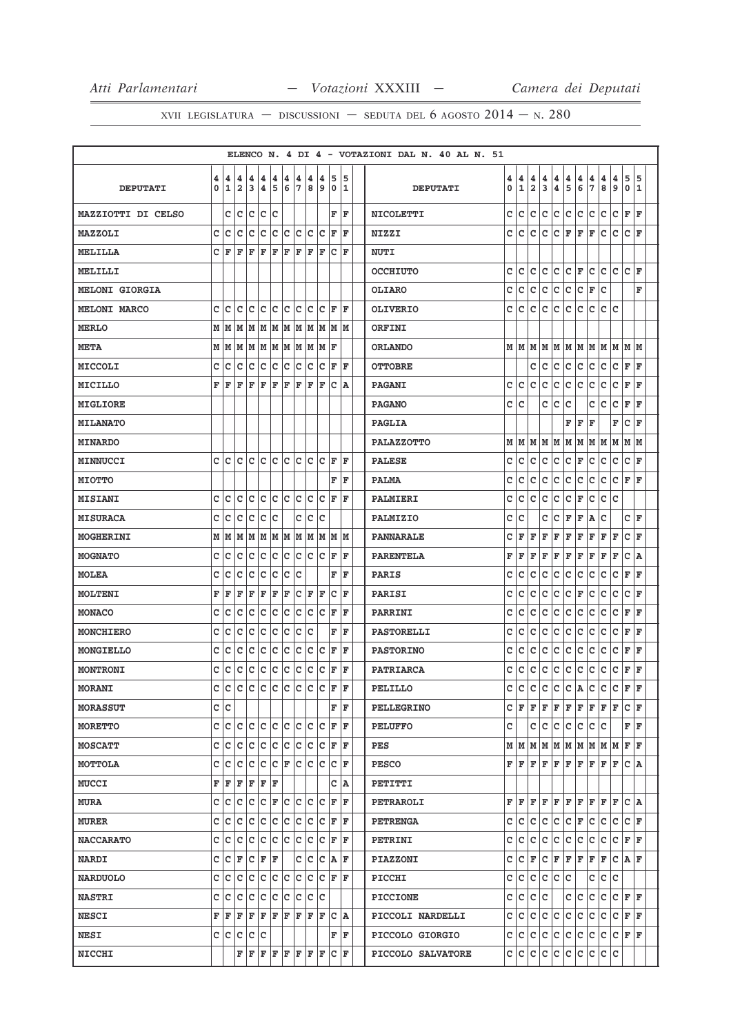|                           |        |                    |                        |        |                              |        |        |                      |                         |        |                        |        | ELENCO N. 4 DI 4 - VOTAZIONI DAL N. 40 AL N. 51 |        |                   |                              |                              |                |               |               |               |                                                           |               |              |        |
|---------------------------|--------|--------------------|------------------------|--------|------------------------------|--------|--------|----------------------|-------------------------|--------|------------------------|--------|-------------------------------------------------|--------|-------------------|------------------------------|------------------------------|----------------|---------------|---------------|---------------|-----------------------------------------------------------|---------------|--------------|--------|
| <b>DEPUTATI</b>           | 4<br>0 | 4<br>1             | 4<br>2                 | 4<br>3 | 4<br>$\overline{\mathbf{4}}$ | 4<br>5 | 4<br>6 | 4<br>17              | 4<br>8                  | 4<br>9 | 5<br>0                 | 5<br>1 | <b>DEPUTATI</b>                                 | 4<br>0 | 4<br>$\mathbf{1}$ | 4<br>$\overline{\mathbf{2}}$ | 4<br>$\overline{\mathbf{3}}$ | 4<br>$\pmb{4}$ | $\frac{4}{5}$ | $\frac{4}{6}$ | $\frac{4}{7}$ | 4<br>$\overline{8}$                                       | $\frac{4}{9}$ | 5<br>$\circ$ | 5<br>1 |
| <b>MAZZIOTTI DI CELSO</b> |        |                    | c c                    |        | lc lc lc                     |        |        |                      |                         |        | F                      | ΙF     | <b>NICOLETTI</b>                                | c      | c                 | c                            | c                            | c              | c             | c             | c             | c                                                         | c             | F            | F      |
| <b>MAZZOLI</b>            | с      | Iс                 | lc                     | Iс     | Ιc                           | lc.    | lc.    | lc lc                |                         | lc     | F                      | ΙF     | <b>NIZZI</b>                                    | c      | c                 | c                            | c                            | c              |               | FF            | F             | c                                                         | c             | c            | F      |
| <b>MELILLA</b>            | c      | <b>F</b>           | ΙF                     | ΙF     | ΙF                           | F      | ΙF     | F                    | F                       | l F    | c                      | ΙF     | <b>NUTI</b>                                     |        |                   |                              |                              |                |               |               |               |                                                           |               |              |        |
| MELILLI                   |        |                    |                        |        |                              |        |        |                      |                         |        |                        |        | <b>OCCHIUTO</b>                                 | c      | c                 | c                            | c                            | c              |               | C F           | c             | c c                                                       |               | lc.          | F      |
| <b>MELONI GIORGIA</b>     |        |                    |                        |        |                              |        |        |                      |                         |        |                        |        | <b>OLIARO</b>                                   | c      | c                 | c                            | c                            | c              | c             | c.            | F             | c                                                         |               |              | F      |
| <b>MELONI MARCO</b>       | C      | Iс                 | ١c                     | lc.    | Ιc                           | lc.    | lc.    | lc.                  | Iс                      | c      | F                      | ΙF     | <b>OLIVERIO</b>                                 | c      | c                 | c                            | c                            | c              | c             | lc.           | c             | c c                                                       |               |              |        |
| <b>MERLO</b>              | М      | lм                 |                        |        |                              |        |        |                      | M  M  M  M  M  M  M     | M      | M M                    |        | ORFINI                                          |        |                   |                              |                              |                |               |               |               |                                                           |               |              |        |
| <b>META</b>               | M      | M                  | M  M  M  M  M  M  M  M |        |                              |        |        |                      |                         |        | ΙF                     |        | <b>ORLANDO</b>                                  |        | MM                |                              |                              |                |               |               |               | $M$   $M$   $M$   $M$   $M$   $M$   $M$   $M$   $M$   $M$ |               |              |        |
| <b>MICCOLI</b>            | c      | c                  | c                      | c      | c                            | ∣c     | c      | c c                  |                         | Iс     | F                      | ΙF     | <b>OTTOBRE</b>                                  |        |                   | с                            | c                            | c              | c             | c             | c             | c                                                         |               | C F F        |        |
| MICILLO                   | F      | ١F                 | ΙF                     | ΙF     | ΙF                           | F      | ΙF     | F                    | F                       | ΙF     | c                      | ١A     | <b>PAGANI</b>                                   | c      | с                 | с                            | с                            | с              | c             | c             | с             | с                                                         | с             | F            | F      |
| <b>MIGLIORE</b>           |        |                    |                        |        |                              |        |        |                      |                         |        |                        |        | <b>PAGANO</b>                                   | c      | c                 |                              | c                            | c              | с             |               | c             | с                                                         | c             | F            | F      |
| <b>MILANATO</b>           |        |                    |                        |        |                              |        |        |                      |                         |        |                        |        | <b>PAGLIA</b>                                   |        |                   |                              |                              |                | F             | F             | F             |                                                           | F             | c            | F      |
| <b>MINARDO</b>            |        |                    |                        |        |                              |        |        |                      |                         |        |                        |        | <b>PALAZZOTTO</b>                               |        | MM                | M                            |                              | MM             |               | M  M  M  M    |               |                                                           | M             | MM           |        |
| <b>MINNUCCI</b>           | C      | lc                 | lc.                    | c c    |                              | lc lc  |        | c c                  |                         | lc     | lF.                    | ΙF     | <b>PALESE</b>                                   | c      | c                 | c                            | c                            | c              | c             | F             | c             | c                                                         | c             | c            | ΙF     |
| <b>MIOTTO</b>             |        |                    |                        |        |                              |        |        |                      |                         |        | F                      | ΙF     | <b>PALMA</b>                                    | с      | с                 | c                            | с                            | c              | c             | c             | c             | c                                                         | c             | F  F         |        |
| <b>MISIANI</b>            | c      | Ιc                 | lc.                    | c c    |                              | c c    |        | c c                  |                         | lc     | F                      | ΙF     | <b>PALMIERI</b>                                 | с      | с                 | c                            | c                            | c              | c             | F             | c             | c                                                         | c             |              |        |
| <b>MISURACA</b>           | c      | lc                 | c                      | Iс     | lc                           | lc     |        | c                    | Iс                      | c      |                        |        | PALMIZIO                                        | c      | с                 |                              | c                            | с              | F             | F             | Α             | с                                                         |               | C F          |        |
| <b>MOGHERINI</b>          | м      | M                  | M                      |        | M M M M                      |        |        |                      | M M                     |        | M  M  M                |        | <b>PANNARALE</b>                                | c      | F                 | F                            | F                            | F              | F             | F             | F             | F                                                         | F             | C F          |        |
| <b>MOGNATO</b>            | C      | Ιc                 | c                      | c      | c                            | c      | c      | c                    | Iс                      | Iс     | F                      | ΙF     | <b>PARENTELA</b>                                | F      | F                 | F                            | F                            | F              | F             | F             | F             | F                                                         | F             | c            | A      |
| <b>MOLEA</b>              | C      | c                  | lc                     | lc     | lc                           | lc     | lc.    | lc                   |                         |        | F                      | ΙF     | <b>PARIS</b>                                    | c      | c                 | c                            | c                            | c              | c             | c             | c             | c                                                         | c             | F            | ΙF     |
| <b>MOLTENI</b>            | F      | F                  | ΙF                     | F      | F                            | F      | F      | $ {\bf C}  {\bf F} $ |                         | ΙF     | c                      | ΙF     | PARISI                                          | с      | с                 | c                            | с                            | c              | c             | F             | c             | с                                                         | с             | c            | ΙF     |
| <b>MONACO</b>             | c      | Ιc                 | c                      | lc     | lc                           | Ιc     | lc.    | Ιc                   | lc                      | Ιc     | F                      | ΙF     | PARRINI                                         | c      | c                 | c                            | c                            | c              | c             | c             | c             | c                                                         | c             | F            | F      |
| <b>MONCHIERO</b>          | c      | c                  | lc                     | c      | c                            | c      | lc.    | lc.                  | Iс                      |        | F                      | ΙF     | <b>PASTORELLI</b>                               | с      | с                 | с                            | c                            | c              | c             | c             | c             | c                                                         | c             | F            | ΙF     |
| MONGIELLO                 | C      | Iс                 | c                      | Iс     | lc                           | Iс     | lc.    | lc.                  | Iс                      | Iс     | F                      | ΙF     | <b>PASTORINO</b>                                | с      | с                 | с                            | с                            | c              | c             | c             | c             | c                                                         | c             | F            | F      |
| <b>MONTRONI</b>           | с      | c                  | c                      | c      | c                            | c      | c      | c                    | c                       | c      | F                      | ΙF     | <b>PATRIARCA</b>                                | с      | с                 | с                            | с                            | с              | с             | c             | с             | c                                                         | c             | F            | F      |
| <b>MORANI</b>             | c      | c                  | c                      | c      | c c c                        |        |        | c                    | c                       | c      | F                      | l F    | <b>PELILLO</b>                                  | c      | $\mathtt{C}$      | $\mathtt{C}$                 | c                            | c              | c             | A             | c             | c                                                         | c             | F            | F      |
| <b>MORASSUT</b>           |        | c c                |                        |        |                              |        |        |                      |                         |        | F                      | ΙF     | <b>PELLEGRINO</b>                               |        | CF                | F                            | F                            |                |               |               |               | F F F F F F                                               |               | C F          |        |
| <b>MORETTO</b>            | c      | c c                |                        | c c    |                              | c c    |        | c c                  |                         | Ιc     | F F                    |        | <b>PELUFFO</b>                                  | c      |                   | с                            | с                            | c              | c             | c.            |               | c c                                                       |               | FF           |        |
| <b>MOSCATT</b>            | c      | Ιc                 | lc.                    | lc.    | Ιc                           | Iс     | Iс     | Iс                   | Ιc                      | Ιc     | F                      | ΙF     | PES                                             |        | MM                |                              |                              |                |               |               |               | $M$   $M$   $M$   $M$   $M$   $M$   $M$                   |               | F F          |        |
| MOTTOLA                   | c      | lc.                | lc.                    |        |                              |        |        |                      |                         |        | $ c c c _F c c c c _F$ |        | <b>PESCO</b>                                    |        | FF                | F                            | F                            | F              |               |               |               | F F F F F                                                 |               | $ c $ A      |        |
| <b>MUCCI</b>              | F      | l F                | F                      | F      | F F                          |        |        |                      |                         |        | c                      | ١A     | PETITTI                                         |        |                   |                              |                              |                |               |               |               |                                                           |               |              |        |
| <b>MURA</b>               | c      | Ιc                 | Ιc                     | Iс     | c                            | F      | c      | c c                  |                         | Iс     | F                      | ΙF     | PETRAROLI                                       |        | FF                | F                            | F                            | F              |               | F F F         |               | F F                                                       |               | CA           |        |
| <b>MURER</b>              | c      | Ιc                 | Iс                     | Iс     | c                            | c      | c      | Ιc                   | Iс                      | Iс     | F                      | ΙF     | <b>PETRENGA</b>                                 | c      | c                 | c                            | c                            | c              |               | C F           | c             | c                                                         | c             | CF           |        |
| <b>NACCARATO</b>          | C      | lc                 | lc                     | lc.    | lc                           | lc.    | lc.    | lc.                  | lc                      | Iс     | lF.                    | ΙF     | <b>PETRINI</b>                                  | c      | c                 | c                            | c                            | c              | c             | c             | c             | c                                                         | c             | F F          |        |
| <b>NARDI</b>              | c      | $ C $ $\mathbf{F}$ |                        |        | C F F                        |        |        |                      | c c                     | Ιc     | <b>AF</b>              |        | <b>PIAZZONI</b>                                 | c      | с                 | F                            | с                            | F              |               | F F F F       |               |                                                           |               | C A F        |        |
| <b>NARDUOLO</b>           | c      | Ιc                 | lc.                    | Iс     | Ιc                           | lc.    | Iс     | Iс                   | Iс                      | lc.    | ΙF                     | ΙF     | PICCHI                                          | с      | c                 | c                            | c                            | c              | с             |               | c             | с                                                         | с             |              |        |
| <b>NASTRI</b>             | c      | Iс                 | lc.                    |        |                              |        |        |                      | c  c  c  c  c  c  c     |        |                        |        | <b>PICCIONE</b>                                 | с      | c                 | c                            | с                            |                |               | c c           |               | c c                                                       |               | $C$ $F$ $F$  |        |
| <b>NESCI</b>              | F      | l F                | F                      | lF.    | F                            | F      | lF.    | F                    | lF.                     | F      | c                      | ١A     | PICCOLI NARDELLI                                | c      | с                 | с                            | с                            | с              | с             | с             | c             | с                                                         | с             | F F          |        |
| <b>NESI</b>               | c      | c                  | ∣c                     | c      | Ιc                           |        |        |                      |                         |        | F                      | F      | PICCOLO GIORGIO                                 | c      | с                 | с                            | с                            | с              | c             | c             | c             | c                                                         | c             | F F          |        |
| <b>NICCHI</b>             |        |                    | F                      | F      |                              |        |        |                      | $F$ $F$ $F$ $F$ $F$ $F$ |        | lc.                    | F      | PICCOLO SALVATORE                               | c      | c                 | с                            | c                            | c              |               | c c           |               | c c                                                       | c             |              |        |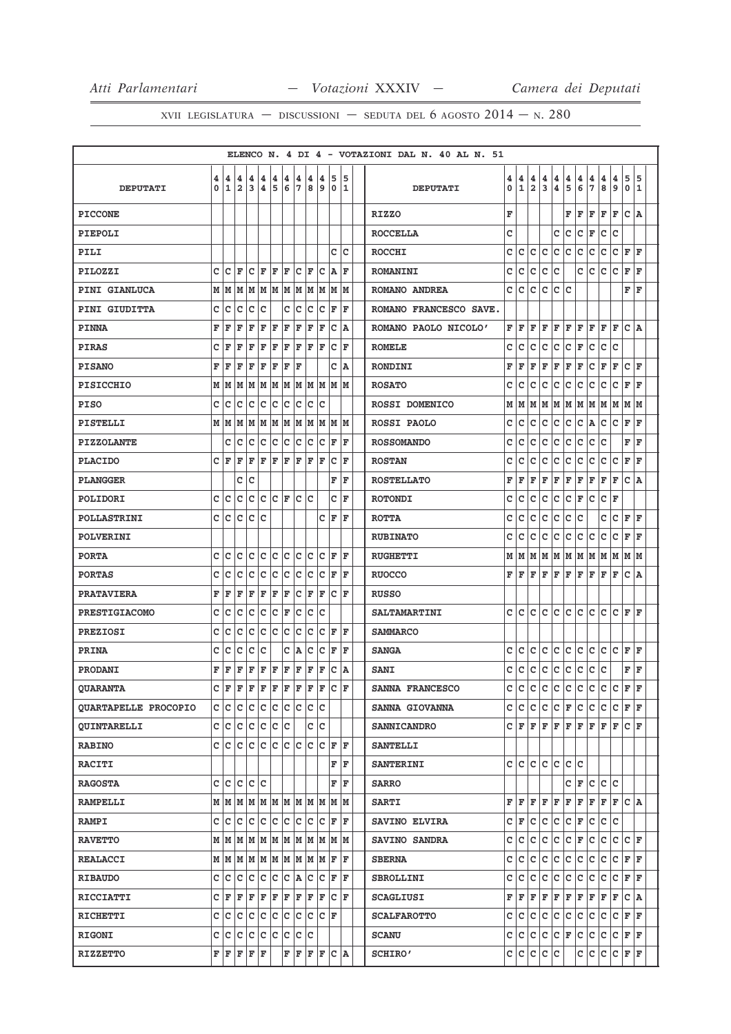|                             |        |                   |                              |                        |             |        |        |                    |        |              |                                                                                                                                                                                       |    |        | ELENCO N. 4 DI 4 - VOTAZIONI DAL N. 40 AL N. 51 |        |                   |                  |              |                           |                    |        |              |              |        |                    |        |
|-----------------------------|--------|-------------------|------------------------------|------------------------|-------------|--------|--------|--------------------|--------|--------------|---------------------------------------------------------------------------------------------------------------------------------------------------------------------------------------|----|--------|-------------------------------------------------|--------|-------------------|------------------|--------------|---------------------------|--------------------|--------|--------------|--------------|--------|--------------------|--------|
| <b>DEPUTATI</b>             | 4<br>0 | 4<br>$\mathbf{1}$ | 4<br>$\overline{\mathbf{2}}$ | 4<br>3                 | 4<br>4      | 4<br>5 | 4<br>6 | 4<br>7             | 4<br>8 | 4<br>9       | 5<br>0                                                                                                                                                                                |    | 5<br>1 | <b>DEPUTATI</b>                                 | 4<br>0 | 4<br>$\mathbf{1}$ | 4<br>$\mathbf 2$ | 4<br>3       | 4<br>$\pmb{4}$            | 4<br>5             | 4<br>6 | 4<br>7       | 4<br>$\bf 8$ | 4<br>9 | 5<br>$\mathbf 0$   | 5<br>1 |
| <b>PICCONE</b>              |        |                   |                              |                        |             |        |        |                    |        |              |                                                                                                                                                                                       |    |        | <b>RIZZO</b>                                    | F      |                   |                  |              |                           | F                  | F      | F            | F            | F      | c                  | ١A     |
| <b>PIEPOLI</b>              |        |                   |                              |                        |             |        |        |                    |        |              |                                                                                                                                                                                       |    |        | <b>ROCCELLA</b>                                 | c      |                   |                  |              | C                         | c                  | c      | F            | c            | c      |                    |        |
| PILI                        |        |                   |                              |                        |             |        |        |                    |        |              | c                                                                                                                                                                                     |    | c      | <b>ROCCHI</b>                                   | c      | c                 | c                | c            | c                         | c                  | C      | c            | c            | c      | F                  | F      |
| PILOZZI                     | с      | с                 | ΙF                           |                        | C F         | F      | F      |                    | C F    | с            | A                                                                                                                                                                                     |    | F      | <b>ROMANINI</b>                                 | с      | с                 | c                | c            | C                         |                    | c      | c            | c            | c      | F                  | F      |
| <b>PINI GIANLUCA</b>        | М      | M                 | M                            | М                      | м           | M      | M      | M                  | M      | M            | MM                                                                                                                                                                                    |    |        | ROMANO ANDREA                                   | c      | c                 | c                | c            | c                         | c                  |        |              |              |        | F                  | l F    |
| PINI GIUDITTA               | c      | c                 | c                            | с                      | c           |        | с      | c                  | C      | с            | F                                                                                                                                                                                     | F  |        | ROMANO FRANCESCO SAVE.                          |        |                   |                  |              |                           |                    |        |              |              |        |                    |        |
| <b>PINNA</b>                | F      | F                 | F                            | F                      | F           | F      | F      | F                  | F      | F            | c                                                                                                                                                                                     | ١A |        | ROMANO PAOLO NICOLO'                            | F      | F                 | F                | F            | F                         | F                  | F      | F            | F            | F      | c                  | ١A     |
| <b>PIRAS</b>                | c      | F                 | F                            | F                      | F           | F      | F      | F                  | F      | F            | с                                                                                                                                                                                     |    | F      | <b>ROMELE</b>                                   | c      | c                 | c                | c            | c                         | с                  | F      | c            | c            | c      |                    |        |
| <b>PISANO</b>               | F      | F                 | F                            | F                      | F           | F      | F      | F                  |        |              | c                                                                                                                                                                                     |    | A      | <b>RONDINI</b>                                  | F      | F                 | F                | F            | F                         | F                  | F      | c            | F            | F      | c                  | ΙF     |
| <b>PISICCHIO</b>            | М      | M                 | М                            | lм                     | М           | lм     | M      | lМ                 | M M    |              | M M                                                                                                                                                                                   |    |        | <b>ROSATO</b>                                   | c      | c                 | c                | c            | с                         | c                  | с      | c            | c            | с      | F                  | F      |
| <b>PISO</b>                 | с      | с                 | с                            | с                      | c           | с      | с      | с                  | с      | c            |                                                                                                                                                                                       |    |        | <b>ROSSI DOMENICO</b>                           | М      | M                 | M                | M            | M                         | М                  | M      | M            | M            | M      | м                  | lм     |
| PISTELLI                    | М      | M                 | M                            | М                      | М           | М      | М      | M                  | М      | М            | МM                                                                                                                                                                                    |    |        | ROSSI PAOLO                                     | c      | c                 | c                | c            | c                         | с                  | c      | Α            | c            | c      | F                  | F      |
| <b>PIZZOLANTE</b>           |        | с                 | с                            | с                      | c           | с      | с      | c                  | c      | c            | F                                                                                                                                                                                     |    | F      | <b>ROSSOMANDO</b>                               | c      | c                 | c                | c            | c                         | c                  | C      | c            | c            |        | F                  | F      |
| <b>PLACIDO</b>              | c      | ΙF                | F                            | F                      | F           | F      | F      | F                  | F      | F            | с                                                                                                                                                                                     |    | F      | <b>ROSTAN</b>                                   | c      | c                 | c                | c            | c                         | с                  | c      | c            | c            | c      | F                  | l F    |
| <b>PLANGGER</b>             |        |                   | c                            | c                      |             |        |        |                    |        |              | F                                                                                                                                                                                     |    | F      | <b>ROSTELLATO</b>                               | F      | F                 | F                | F            | F                         | F                  | F      | F            | F            | F      | c                  | A      |
| POLIDORI                    | c      | c                 | c                            | c                      | c           |        | CF     |                    | lc lc  |              | c                                                                                                                                                                                     |    | F      | <b>ROTONDI</b>                                  | c      | c                 | c                | c            | c                         | с                  | F      | с            | c            | F      |                    |        |
| <b>POLLASTRINI</b>          | c      | c                 | с                            | с                      | C           |        |        |                    |        | c            | F                                                                                                                                                                                     |    | F      | <b>ROTTA</b>                                    | c      | c                 | c                | c            | с                         | c                  | C      |              | c            | c      | F                  | F      |
| <b>POLVERINI</b>            |        |                   |                              |                        |             |        |        |                    |        |              |                                                                                                                                                                                       |    |        | <b>RUBINATO</b>                                 | с      | c                 | с                | c            | с                         | с                  | c      | c            | с            | c      | F                  | ΙF     |
| <b>PORTA</b>                | C      | c                 | c                            | c                      | c           | c      | с      | c                  | c      | c            | F                                                                                                                                                                                     | F  |        | <b>RUGHETTI</b>                                 | М      | M                 | M                | M            | M                         | M                  | M      | M            | M            | M      | M                  | M      |
| <b>PORTAS</b>               | C      | c                 | c                            | c                      | c           | c      | c      | c                  | c      | c            | F                                                                                                                                                                                     |    | F      | <b>RUOCCO</b>                                   | F      | F                 | F                | F            | F                         | F                  | F      | F            | F            | F      | c                  | A      |
| <b>PRATAVIERA</b>           | F      | F                 | F                            | F                      | F           | F      | F      | с                  | F      | F            | с                                                                                                                                                                                     | ΙF |        | <b>RUSSO</b>                                    |        |                   |                  |              |                           |                    |        |              |              |        |                    |        |
| <b>PRESTIGIACOMO</b>        | c      | c                 | c                            | c                      | с           | c      | F      | c                  | с      | c            |                                                                                                                                                                                       |    |        | <b>SALTAMARTINI</b>                             | c      | c                 | c                | c            | c                         | c                  | c      | c            | c            | c      | F                  | ΙF     |
| <b>PREZIOSI</b>             | c      | с                 | с                            | с                      | $\mathbf C$ | c      | c      | c                  | C      | с            | F                                                                                                                                                                                     |    | F      | <b>SAMMARCO</b>                                 |        |                   |                  |              |                           |                    |        |              |              |        |                    |        |
| PRINA                       | c      | с                 | c                            | с                      | c           |        | c      | ١A                 | с      | c            | F                                                                                                                                                                                     |    | F      | <b>SANGA</b>                                    | c      | c                 | c                | c            | c                         | с                  | c      | с            | c            | c      | F                  | F      |
| PRODANI                     | F      | F                 | F                            | F                      | F           | F      | F      | F                  | F      | F            | с                                                                                                                                                                                     | ١A |        | <b>SANI</b>                                     | с      | c                 | $\mathtt{C}$     | c            | C                         | c                  | c      | c            | c            |        | F                  | l F    |
| <b>QUARANTA</b>             | C      | F                 | F                            | F                      | F           | F      | F      | F                  | F      | F            | c                                                                                                                                                                                     |    | F      | SANNA FRANCESCO                                 | C      | C                 | $\mathtt{C}$     | $\mathtt{C}$ | c                         | $\mathtt{C}$       | c      | $\mathtt{C}$ | $\mathtt{C}$ | C      | F                  | F      |
| <b>QUARTAPELLE PROCOPIO</b> |        | c c               |                              | c  c  c  c  c  c  c  c |             |        |        |                    |        |              |                                                                                                                                                                                       |    |        | <b>SANNA GIOVANNA</b>                           |        | c c               | lc.              | lc.          |                           | $ C $ $\mathbf{F}$ | lc.    | lc.          | lc.          | c      | F  F               |        |
| <b>OUINTARELLI</b>          |        |                   | c c c c c c c c              |                        |             |        |        |                    |        | c c          |                                                                                                                                                                                       |    |        | <b>SANNICANDRO</b>                              |        |                   |                  |              | $C$ $ F F F F F F F F F $ |                    |        |              |              | F      | C F                |        |
| <b>RABINO</b>               |        |                   |                              |                        |             |        |        |                    |        |              | cicicicicicicicicici FiF                                                                                                                                                              |    |        | <b>SANTELLI</b>                                 |        |                   |                  |              |                           |                    |        |              |              |        |                    |        |
| <b>RACITI</b>               |        |                   |                              |                        |             |        |        |                    |        |              |                                                                                                                                                                                       | FF |        | <b>SANTERINI</b>                                |        |                   |                  |              | c c c c c c c c           |                    |        |              |              |        |                    |        |
| <b>RAGOSTA</b>              |        | c c               |                              | c c c                  |             |        |        |                    |        |              |                                                                                                                                                                                       | FF |        | <b>SARRO</b>                                    |        |                   |                  |              |                           | c                  | F      | c            | c c          |        |                    |        |
| <b>RAMPELLI</b>             |        |                   |                              |                        |             |        |        |                    |        |              |                                                                                                                                                                                       |    |        | <b>SARTI</b>                                    |        | FF                | lF.              | F            | F                         | F                  | F      | F            | F            | lF.    | C A                |        |
| <b>RAMPI</b>                | c      | с                 | с                            | с                      | c           | c      | c      | c                  | с      | c            | F F                                                                                                                                                                                   |    |        | <b>SAVINO ELVIRA</b>                            | c      | F                 | c                | c            | c                         | c                  | F      | c            | c            | Iс     |                    |        |
| <b>RAVETTO</b>              |        |                   | M   M   M                    |                        |             |        |        |                    |        |              | M  M  M  M  M  M  M  M  M                                                                                                                                                             |    |        | SAVINO SANDRA                                   | c      | lc.               | lc.              | lc.          | lc.                       | c                  | F      | c            | lc.          | c      | $ c _{\mathbf{F}}$ |        |
| <b>REALACCI</b>             |        |                   |                              |                        |             |        |        |                    |        |              | $M$   $M$   $M$   $M$   $M$   $M$   $M$   $M$   $M$   $F$   $F$                                                                                                                       |    |        | <b>SBERNA</b>                                   | c      | lc.               | c                | c            | c                         | c                  | lc.    | c            | c            | c      | F F                |        |
| <b>RIBAUDO</b>              | c      | с                 | с                            | с                      | c           | с      |        | $ C $ $\mathbf{A}$ | c      | $\mathbf{C}$ | F F                                                                                                                                                                                   |    |        | <b>SBROLLINI</b>                                | c      | c                 | c                | c            | c                         | c                  | c      | c            | с            | c      | F F                |        |
| <b>RICCIATTI</b>            |        |                   |                              |                        |             |        |        |                    |        |              | $C \vert \mathbf{F} \vert \mathbf{F} \vert \mathbf{F} \vert \mathbf{F} \vert \mathbf{F} \vert \mathbf{F} \vert \mathbf{F} \vert \mathbf{F} \vert \mathbf{F} \vert C \vert \mathbf{F}$ |    |        | <b>SCAGLIUSI</b>                                | F      | F                 | F                | F            | F                         | $\mathbf F$        | F      | F            | F            | F      | C A                |        |
| <b>RICHETTI</b>             |        | c  c              | с                            | с                      | с           | с      | c      | $\mathbf{C}$       | c      |              | C F                                                                                                                                                                                   |    |        | <b>SCALFAROTTO</b>                              | c      | с                 | с                | с            | c                         | с                  | c      | c            | c            | c      | F F                |        |
| <b>RIGONI</b>               | c      |                   | c c                          | с                      | c           | c      | с      |                    | c c    |              |                                                                                                                                                                                       |    |        | <b>SCANU</b>                                    | c      | c                 | с                | c            | c                         | F                  | c      | c            | c            | c      | F F                |        |
| <b>RIZZETTO</b>             |        |                   | F F F F F                    |                        |             |        |        |                    |        |              | F F F F C A                                                                                                                                                                           |    |        | <b>SCHIRO'</b>                                  |        | c c c c c         |                  |              |                           |                    | c      | c c          |              | C F F  |                    |        |